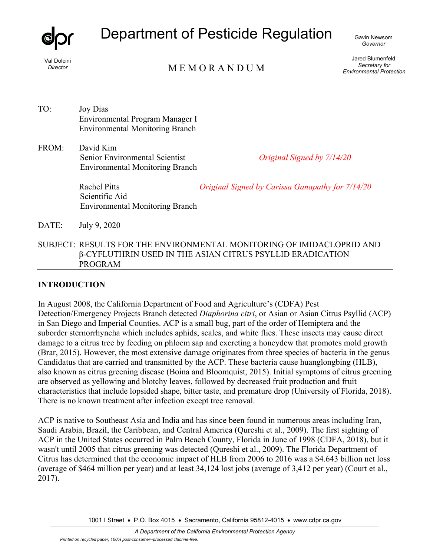

# Department of Pesticide Regulation

Gavin Newsom *Governor* 

Val Dolcini *Director* 

M E M O R A N D U M

Jared Blumenfeld *Secretary for Environmental Protection* 

- TO: Joy Dias Environmental Program Manager I Environmental Monitoring Branch
- FROM: David Kim Senior Environmental Scientist Environmental Monitoring Branch

*Original Signed by 7/14/20* 

Rachel Pitts Scientific Aid Environmental Monitoring Branch *Original Signed by Carissa Ganapathy for 7/14/20*

DATE: July 9, 2020

SUBJECT: RESULTS FOR THE ENVIRONMENTAL MONITORING OF IMIDACLOPRID AND β-CYFLUTHRIN USED IN THE ASIAN CITRUS PSYLLID ERADICATION PROGRAM

### **INTRODUCTION**

In August 2008, the California Department of Food and Agriculture's (CDFA) Pest Detection/Emergency Projects Branch detected *Diaphorina citri*, or Asian or Asian Citrus Psyllid (ACP) in San Diego and Imperial Counties. ACP is a small bug, part of the order of Hemiptera and the suborder sternorrhyncha which includes aphids, scales, and white flies. These insects may cause direct damage to a citrus tree by feeding on phloem sap and excreting a honeydew that promotes mold growth (Brar, 2015). However, the most extensive damage originates from three species of bacteria in the genus Candidatus that are carried and transmitted by the ACP. These bacteria cause huanglongbing (HLB), also known as citrus greening disease (Boina and Bloomquist, 2015). Initial symptoms of citrus greening are observed as yellowing and blotchy leaves, followed by decreased fruit production and fruit characteristics that include lopsided shape, bitter taste, and premature drop (University of Florida, 2018). There is no known treatment after infection except tree removal.

ACP is native to Southeast Asia and India and has since been found in numerous areas including Iran, Saudi Arabia, Brazil, the Caribbean, and Central America (Qureshi et al., 2009). The first sighting of ACP in the United States occurred in Palm Beach County, Florida in June of 1998 (CDFA, 2018), but it wasn't until 2005 that citrus greening was detected (Qureshi et al., 2009). The Florida Department of Citrus has determined that the economic impact of HLB from 2006 to 2016 was a \$4.643 billion net loss (average of \$464 million per year) and at least 34,124 lost jobs (average of 3,412 per year) (Court et al., 2017).

1001 I Street • P.O. Box 4015 • Sacramento, California 95812-4015 • www.cdpr.ca.gov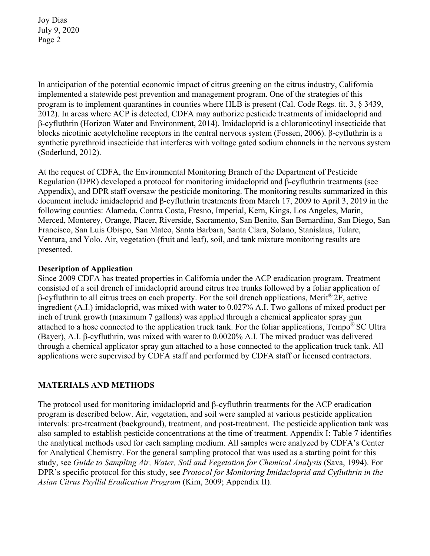In anticipation of the potential economic impact of citrus greening on the citrus industry, California implemented a statewide pest prevention and management program. One of the strategies of this program is to implement quarantines in counties where HLB is present (Cal. Code Regs. tit. 3, § 3439, 2012). In areas where ACP is detected, CDFA may authorize pesticide treatments of imidacloprid and β-cyfluthrin (Horizon Water and Environment, 2014). Imidacloprid is a chloronicotinyl insecticide that blocks nicotinic acetylcholine receptors in the central nervous system (Fossen, 2006). β-cyfluthrin is a synthetic pyrethroid insecticide that interferes with voltage gated sodium channels in the nervous system (Soderlund, 2012).

At the request of CDFA, the Environmental Monitoring Branch of the Department of Pesticide Regulation (DPR) developed a protocol for monitoring imidacloprid and β-cyfluthrin treatments (see Appendix), and DPR staff oversaw the pesticide monitoring. The monitoring results summarized in this document include imidacloprid and β-cyfluthrin treatments from March 17, 2009 to April 3, 2019 in the following counties: Alameda, Contra Costa, Fresno, Imperial, Kern, Kings, Los Angeles, Marin, Merced, Monterey, Orange, Placer, Riverside, Sacramento, San Benito, San Bernardino, San Diego, San Francisco, San Luis Obispo, San Mateo, Santa Barbara, Santa Clara, Solano, Stanislaus, Tulare, Ventura, and Yolo. Air, vegetation (fruit and leaf), soil, and tank mixture monitoring results are presented.

### **Description of Application**

Since 2009 CDFA has treated properties in California under the ACP eradication program. Treatment consisted of a soil drench of imidacloprid around citrus tree trunks followed by a foliar application of β-cyfluthrin to all citrus trees on each property. For the soil drench applications, Merit® 2F, active ingredient (A.I.) imidacloprid, was mixed with water to 0.027% A.I. Two gallons of mixed product per inch of trunk growth (maximum 7 gallons) was applied through a chemical applicator spray gun attached to a hose connected to the application truck tank. For the foliar applications, Tempo® SC Ultra (Bayer), A.I. β-cyfluthrin, was mixed with water to 0.0020% A.I. The mixed product was delivered through a chemical applicator spray gun attached to a hose connected to the application truck tank. All applications were supervised by CDFA staff and performed by CDFA staff or licensed contractors.

### **MATERIALS AND METHODS**

The protocol used for monitoring imidacloprid and β-cyfluthrin treatments for the ACP eradication program is described below. Air, vegetation, and soil were sampled at various pesticide application intervals: pre-treatment (background), treatment, and post-treatment. The pesticide application tank was also sampled to establish pesticide concentrations at the time of treatment. Appendix I: Table 7 identifies the analytical methods used for each sampling medium. All samples were analyzed by CDFA's Center for Analytical Chemistry. For the general sampling protocol that was used as a starting point for this study, see *Guide to Sampling Air, Water, Soil and Vegetation for Chemical Analysis* (Sava, 1994). For DPR's specific protocol for this study, see *Protocol for Monitoring Imidacloprid and Cyfluthrin in the Asian Citrus Psyllid Eradication Program* (Kim, 2009; Appendix II).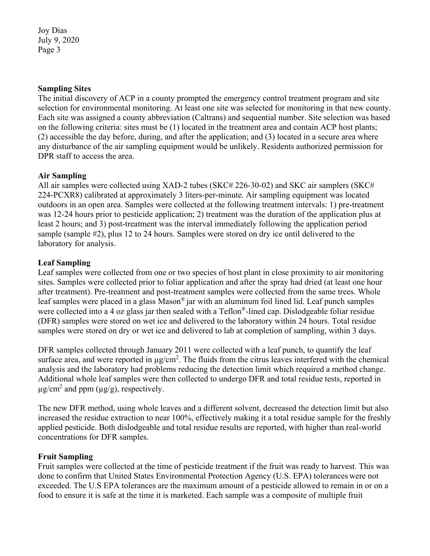### **Sampling Sites**

The initial discovery of ACP in a county prompted the emergency control treatment program and site selection for environmental monitoring. At least one site was selected for monitoring in that new county. Each site was assigned a county abbreviation (Caltrans) and sequential number. Site selection was based on the following criteria: sites must be (1) located in the treatment area and contain ACP host plants; (2) accessible the day before, during, and after the application; and (3) located in a secure area where any disturbance of the air sampling equipment would be unlikely. Residents authorized permission for DPR staff to access the area.

### **Air Sampling**

All air samples were collected using XAD-2 tubes (SKC# 226-30-02) and SKC air samplers (SKC# 224-PCXR8) calibrated at approximately 3 liters-per-minute. Air sampling equipment was located outdoors in an open area. Samples were collected at the following treatment intervals: 1) pre-treatment was 12-24 hours prior to pesticide application; 2) treatment was the duration of the application plus at least 2 hours; and 3) post-treatment was the interval immediately following the application period sample (sample #2), plus 12 to 24 hours. Samples were stored on dry ice until delivered to the laboratory for analysis.

### **Leaf Sampling**

Leaf samples were collected from one or two species of host plant in close proximity to air monitoring sites. Samples were collected prior to foliar application and after the spray had dried (at least one hour after treatment). Pre-treatment and post-treatment samples were collected from the same trees. Whole leaf samples were placed in a glass Mason® jar with an aluminum foil lined lid. Leaf punch samples were collected into a 4 oz glass jar then sealed with a Teflon®-lined cap. Dislodgeable foliar residue (DFR) samples were stored on wet ice and delivered to the laboratory within 24 hours. Total residue samples were stored on dry or wet ice and delivered to lab at completion of sampling, within 3 days.

DFR samples collected through January 2011 were collected with a leaf punch, to quantify the leaf surface area, and were reported in  $\mu$ g/cm<sup>2</sup>. The fluids from the citrus leaves interfered with the chemical analysis and the laboratory had problems reducing the detection limit which required a method change. Additional whole leaf samples were then collected to undergo DFR and total residue tests, reported in  $\mu$ g/cm<sup>2</sup> and ppm ( $\mu$ g/g), respectively.

The new DFR method, using whole leaves and a different solvent, decreased the detection limit but also increased the residue extraction to near 100%, effectively making it a total residue sample for the freshly applied pesticide. Both dislodgeable and total residue results are reported, with higher than real-world concentrations for DFR samples.

### **Fruit Sampling**

Fruit samples were collected at the time of pesticide treatment if the fruit was ready to harvest. This was done to confirm that United States Environmental Protection Agency (U.S. EPA) tolerances were not exceeded. The U.S EPA tolerances are the maximum amount of a pesticide allowed to remain in or on a food to ensure it is safe at the time it is marketed. Each sample was a composite of multiple fruit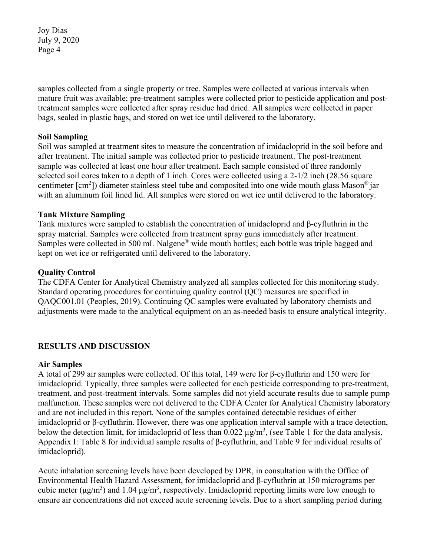samples collected from a single property or tree. Samples were collected at various intervals when mature fruit was available; pre-treatment samples were collected prior to pesticide application and posttreatment samples were collected after spray residue had dried. All samples were collected in paper bags, sealed in plastic bags, and stored on wet ice until delivered to the laboratory.

### **Soil Sampling**

Soil was sampled at treatment sites to measure the concentration of imidacloprid in the soil before and after treatment. The initial sample was collected prior to pesticide treatment. The post-treatment sample was collected at least one hour after treatment. Each sample consisted of three randomly selected soil cores taken to a depth of 1 inch. Cores were collected using a 2-1/2 inch (28.56 square centimeter [cm<sup>2</sup>]) diameter stainless steel tube and composited into one wide mouth glass Mason<sup>®</sup> jar with an aluminum foil lined lid. All samples were stored on wet ice until delivered to the laboratory.

### **Tank Mixture Sampling**

Tank mixtures were sampled to establish the concentration of imidacloprid and β-cyfluthrin in the spray material. Samples were collected from treatment spray guns immediately after treatment. Samples were collected in 500 mL Nalgene® wide mouth bottles; each bottle was triple bagged and kept on wet ice or refrigerated until delivered to the laboratory.

### **Quality Control**

The CDFA Center for Analytical Chemistry analyzed all samples collected for this monitoring study. Standard operating procedures for continuing quality control (QC) measures are specified in QAQC001.01 (Peoples, 2019). Continuing QC samples were evaluated by laboratory chemists and adjustments were made to the analytical equipment on an as-needed basis to ensure analytical integrity.

### **RESULTS AND DISCUSSION**

### **Air Samples**

A total of 299 air samples were collected. Of this total, 149 were for β-cyfluthrin and 150 were for imidacloprid. Typically, three samples were collected for each pesticide corresponding to pre-treatment, treatment, and post-treatment intervals. Some samples did not yield accurate results due to sample pump malfunction. These samples were not delivered to the CDFA Center for Analytical Chemistry laboratory and are not included in this report. None of the samples contained detectable residues of either imidacloprid or β-cyfluthrin. However, there was one application interval sample with a trace detection, below the detection limit, for imidacloprid of less than  $0.022 \mu g/m^3$ , (see Table 1 for the data analysis, Appendix I: Table 8 for individual sample results of β-cyfluthrin, and Table 9 for individual results of imidacloprid).

Acute inhalation screening levels have been developed by DPR, in consultation with the Office of Environmental Health Hazard Assessment, for imidacloprid and β-cyfluthrin at 150 micrograms per cubic meter ( $\mu$ g/m<sup>3</sup>) and 1.04  $\mu$ g/m<sup>3</sup>, respectively. Imidacloprid reporting limits were low enough to ensure air concentrations did not exceed acute screening levels. Due to a short sampling period during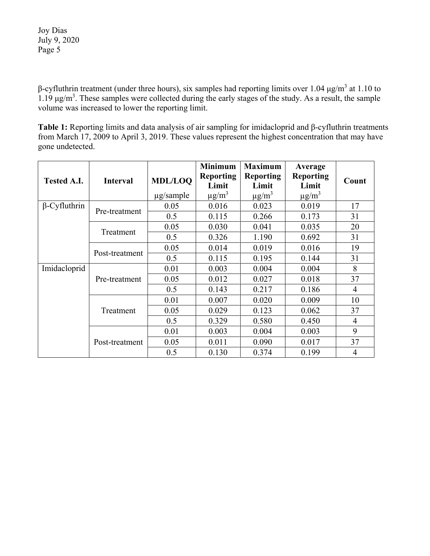β-cyfluthrin treatment (under three hours), six samples had reporting limits over 1.04 μg/m<sup>3</sup> at 1.10 to 1.19 μg/m<sup>3</sup> . These samples were collected during the early stages of the study. As a result, the sample volume was increased to lower the reporting limit.

**Table 1:** Reporting limits and data analysis of air sampling for imidacloprid and β-cyfluthrin treatments from March 17, 2009 to April 3, 2019. These values represent the highest concentration that may have gone undetected.

| <b>Tested A.I.</b>  | <b>Interval</b> | <b>MDL/LOO</b> | <b>Minimum</b><br><b>Reporting</b><br>Limit | <b>Maximum</b><br><b>Reporting</b><br>Limit | Average<br><b>Reporting</b><br>Limit | Count          |
|---------------------|-----------------|----------------|---------------------------------------------|---------------------------------------------|--------------------------------------|----------------|
|                     |                 | $\mu$ g/sample | $\mu$ g/m <sup>3</sup>                      | $\mu$ g/m <sup>3</sup>                      | $\mu$ g/m <sup>3</sup>               |                |
| $\beta$ -Cyfluthrin | Pre-treatment   | 0.05           | 0.016                                       | 0.023                                       | 0.019                                | 17             |
|                     |                 | 0.5            | 0.115                                       | 0.266                                       | 0.173                                | 31             |
|                     | Treatment       | 0.05           | 0.030                                       | 0.041                                       | 0.035                                | 20             |
|                     |                 | 0.5            | 0.326                                       | 1.190                                       | 0.692                                | 31             |
|                     | Post-treatment  | 0.05           | 0.014                                       | 0.019                                       | 0.016                                | 19             |
|                     |                 | 0.5            | 0.115                                       | 0.195                                       | 0.144                                | 31             |
| Imidacloprid        |                 | 0.01           | 0.003                                       | 0.004                                       | 0.004                                | 8              |
|                     | Pre-treatment   | 0.05           | 0.012                                       | 0.027                                       | 0.018                                | 37             |
|                     |                 | 0.5            | 0.143                                       | 0.217                                       | 0.186                                | $\overline{4}$ |
|                     |                 | 0.01           | 0.007                                       | 0.020                                       | 0.009                                | 10             |
|                     | Treatment       | 0.05           | 0.029                                       | 0.123                                       | 0.062                                | 37             |
|                     |                 | 0.5            | 0.329                                       | 0.580                                       | 0.450                                | $\overline{4}$ |
|                     |                 | 0.01           | 0.003                                       | 0.004                                       | 0.003                                | 9              |
|                     | Post-treatment  | 0.05           | 0.011                                       | 0.090                                       | 0.017                                | 37             |
|                     |                 | 0.5            | 0.130                                       | 0.374                                       | 0.199                                | $\overline{4}$ |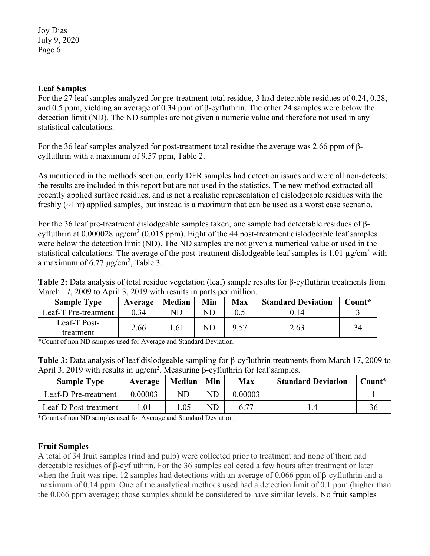### **Leaf Samples**

For the 27 leaf samples analyzed for pre-treatment total residue, 3 had detectable residues of 0.24, 0.28, and 0.5 ppm, yielding an average of 0.34 ppm of β-cyfluthrin. The other 24 samples were below the detection limit (ND). The ND samples are not given a numeric value and therefore not used in any statistical calculations.

For the 36 leaf samples analyzed for post-treatment total residue the average was 2.66 ppm of βcyfluthrin with a maximum of 9.57 ppm, Table 2.

As mentioned in the methods section, early DFR samples had detection issues and were all non-detects; the results are included in this report but are not used in the statistics. The new method extracted all recently applied surface residues, and is not a realistic representation of dislodgeable residues with the freshly (~1hr) applied samples, but instead is a maximum that can be used as a worst case scenario.

For the 36 leaf pre-treatment dislodgeable samples taken, one sample had detectable residues of βcyfluthrin at  $0.000028 \mu\text{g/cm}^2 (0.015 \text{ ppm})$ . Eight of the 44 post-treatment dislodgeable leaf samples were below the detection limit (ND). The ND samples are not given a numerical value or used in the statistical calculations. The average of the post-treatment dislodgeable leaf samples is 1.01  $\mu$ g/cm<sup>2</sup> with a maximum of  $6.77 \mu g/cm^2$ , Table 3.

**Table 2:** Data analysis of total residue vegetation (leaf) sample results for β-cyfluthrin treatments from March 17, 2009 to April 3, 2019 with results in parts per million.

| <b>Sample Type</b>   | Average | <b>Median</b> | Min        | <b>Max</b> | <b>Standard Deviation</b> | Count* |
|----------------------|---------|---------------|------------|------------|---------------------------|--------|
| Leaf-T Pre-treatment | 0.34    | ND            | ND         |            | 0.14                      |        |
| Leaf-T Post-         | 2.66    | 1.61          | ${\rm ND}$ | 9.57       | 2.63                      | 34     |
| treatment            |         |               |            |            |                           |        |

\*Count of non ND samples used for Average and Standard Deviation.

**Table 3:** Data analysis of leaf dislodgeable sampling for β-cyfluthrin treatments from March 17, 2009 to April 3, 2019 with results in  $\mu$ g/cm<sup>2</sup>. Measuring β-cyfluthrin for leaf samples.

| <b>Sample Type</b>    | Average | Median | Min       | Max     | <b>Standard Deviation</b> | Count* |
|-----------------------|---------|--------|-----------|---------|---------------------------|--------|
| Leaf-D Pre-treatment  | 0.00003 | ND     | <b>ND</b> | 0.00003 |                           |        |
| Leaf-D Post-treatment | l .01   | .05    | ND        | 6.77    |                           |        |

\*Count of non ND samples used for Average and Standard Deviation.

### **Fruit Samples**

A total of 34 fruit samples (rind and pulp) were collected prior to treatment and none of them had detectable residues of β-cyfluthrin. For the 36 samples collected a few hours after treatment or later when the fruit was ripe, 12 samples had detections with an average of 0.066 ppm of β-cyfluthrin and a maximum of 0.14 ppm. One of the analytical methods used had a detection limit of 0.1 ppm (higher than the 0.066 ppm average); those samples should be considered to have similar levels. No fruit samples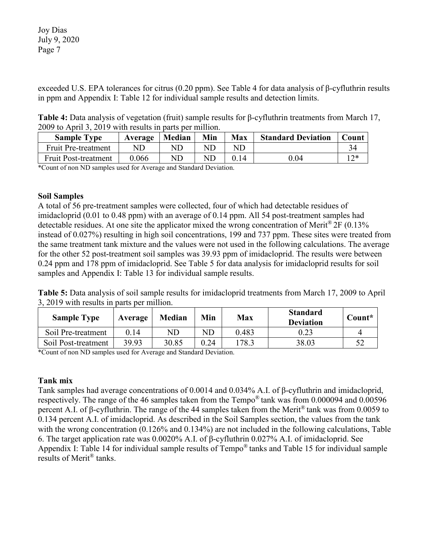exceeded U.S. EPA tolerances for citrus (0.20 ppm). See Table 4 for data analysis of β-cyfluthrin results in ppm and Appendix I: Table 12 for individual sample results and detection limits.

**Table 4:** Data analysis of vegetation (fruit) sample results for β-cyfluthrin treatments from March 17, 2009 to April 3, 2019 with results in parts per million.

| <b>Sample Type</b>          | Average | <b>Median</b> | Min | <b>Max</b> | <b>Standard Deviation</b> | Count |
|-----------------------------|---------|---------------|-----|------------|---------------------------|-------|
| <b>Fruit Pre-treatment</b>  |         | ND            |     | ND         |                           |       |
| <b>Fruit Post-treatment</b> | 0.066   | ND            |     | 0.14       | $0.04\,$                  | つ*    |

\*Count of non ND samples used for Average and Standard Deviation.

### **Soil Samples**

A total of 56 pre-treatment samples were collected, four of which had detectable residues of imidacloprid (0.01 to 0.48 ppm) with an average of 0.14 ppm. All 54 post-treatment samples had detectable residues. At one site the applicator mixed the wrong concentration of Merit<sup>®</sup> 2F (0.13%) instead of 0.027%) resulting in high soil concentrations, 199 and 737 ppm. These sites were treated from the same treatment tank mixture and the values were not used in the following calculations. The average for the other 52 post-treatment soil samples was 39.93 ppm of imidacloprid. The results were between 0.24 ppm and 178 ppm of imidacloprid. See Table 5 for data analysis for imidacloprid results for soil samples and Appendix I: Table 13 for individual sample results.

**Table 5:** Data analysis of soil sample results for imidacloprid treatments from March 17, 2009 to April 3, 2019 with results in parts per million.

| <b>Sample Type</b>  | Average | <b>Median</b> | Min  | <b>Max</b> | <b>Standard</b><br><b>Deviation</b> | Count* |
|---------------------|---------|---------------|------|------------|-------------------------------------|--------|
| Soil Pre-treatment  | 0.14    | ${\rm ND}$    | ND   | 0.483      | 0.23                                |        |
| Soil Post-treatment | 39.93   | 30.85         | 0.24 | 178.3      | 38.03                               |        |

\*Count of non ND samples used for Average and Standard Deviation.

### **Tank mix**

Tank samples had average concentrations of 0.0014 and 0.034% A.I. of β-cyfluthrin and imidacloprid, respectively. The range of the 46 samples taken from the Tempo® tank was from 0.000094 and 0.00596 percent A.I. of β-cyfluthrin. The range of the 44 samples taken from the Merit® tank was from 0.0059 to 0.134 percent A.I. of imidacloprid. As described in the Soil Samples section, the values from the tank with the wrong concentration (0.126% and 0.134%) are not included in the following calculations, Table 6. The target application rate was 0.0020% A.I. of β-cyfluthrin 0.027% A.I. of imidacloprid. See Appendix I: Table 14 for individual sample results of Tempo® tanks and Table 15 for individual sample results of Merit® tanks.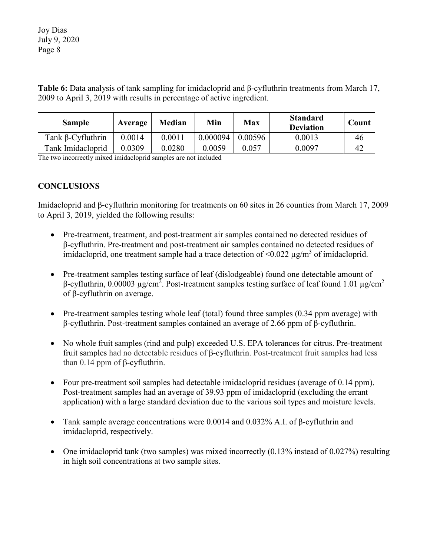**Table 6:** Data analysis of tank sampling for imidacloprid and β-cyfluthrin treatments from March 17, 2009 to April 3, 2019 with results in percentage of active ingredient.

| <b>Sample</b>            | Average | <b>Median</b> | Min      | Max     | <b>Standard</b><br><b>Deviation</b> | Count |
|--------------------------|---------|---------------|----------|---------|-------------------------------------|-------|
| Tank $\beta$ -Cyfluthrin | 0.0014  | 0.0011        | 0.000094 | 0.00596 | 0.0013                              | 46    |
| Tank Imidacloprid        | 0.0309  | 0.0280        | 0.0059   | 0.057   | 0.0097                              | 4'    |

The two incorrectly mixed imidacloprid samples are not included

### **CONCLUSIONS**

Imidacloprid and β-cyfluthrin monitoring for treatments on 60 sites in 26 counties from March 17, 2009 to April 3, 2019, yielded the following results:

- Pre-treatment, treatment, and post-treatment air samples contained no detected residues of β-cyfluthrin. Pre-treatment and post-treatment air samples contained no detected residues of imidacloprid, one treatment sample had a trace detection of  $\leq 0.022 \mu g/m^3$  of imidacloprid.
- Pre-treatment samples testing surface of leaf (dislodgeable) found one detectable amount of β-cyfluthrin, 0.00003 μg/cm<sup>2</sup>. Post-treatment samples testing surface of leaf found 1.01 μg/cm<sup>2</sup> of β-cyfluthrin on average.
- Pre-treatment samples testing whole leaf (total) found three samples (0.34 ppm average) with β-cyfluthrin. Post-treatment samples contained an average of 2.66 ppm of β-cyfluthrin.
- No whole fruit samples (rind and pulp) exceeded U.S. EPA tolerances for citrus. Pre-treatment fruit samples had no detectable residues of β-cyfluthrin. Post-treatment fruit samples had less than  $0.14$  ppm of  $β$ -cyfluthrin.
- Four pre-treatment soil samples had detectable imidacloprid residues (average of 0.14 ppm). Post-treatment samples had an average of 39.93 ppm of imidacloprid (excluding the errant application) with a large standard deviation due to the various soil types and moisture levels.
- Tank sample average concentrations were  $0.0014$  and  $0.032\%$  A.I. of β-cyfluthrin and imidacloprid, respectively.
- One imidacloprid tank (two samples) was mixed incorrectly (0.13% instead of 0.027%) resulting in high soil concentrations at two sample sites.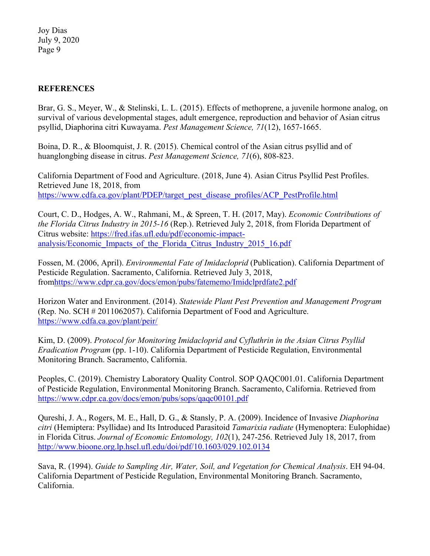### **REFERENCES**

Brar, G. S., Meyer, W., & Stelinski, L. L. (2015). Effects of methoprene, a juvenile hormone analog, on survival of various developmental stages, adult emergence, reproduction and behavior of Asian citrus psyllid, Diaphorina citri Kuwayama. *Pest Management Science, 71*(12), 1657-1665.

Boina, D. R., & Bloomquist, J. R. (2015). Chemical control of the Asian citrus psyllid and of huanglongbing disease in citrus. *Pest Management Science, 71*(6), 808-823.

California Department of Food and Agriculture. (2018, June 4). Asian Citrus Psyllid Pest Profiles. Retrieved June 18, 2018, from [https://www.cdfa.ca.gov/plant/PDEP/target\\_pest\\_disease\\_profiles/ACP\\_PestProfile.html](https://www.cdfa.ca.gov/plant/PDEP/target_pest_disease_profiles/ACP_PestProfile.html)

Court, C. D., Hodges, A. W., Rahmani, M., & Spreen, T. H. (2017, May). *Economic Contributions of the Florida Citrus Industry in 2015-16* (Rep.). Retrieved July 2, 2018, from Florida Department of Citrus website: [https://fred.ifas.ufl.edu/pdf/economic-impact](https://fred.ifas.ufl.edu/pdf/economic-impact-analysis/Economic_Impacts_of_the_Florida_Citrus_Industry_2015_16.pdf)analysis/Economic Impacts of the Florida Citrus Industry 2015 16.pdf

Fossen, M. (2006, April). *Environmental Fate of Imidacloprid* (Publication). California Department of Pesticide Regulation. Sacramento, California. Retrieved July 3, 2018, fro[mhttps://www.cdpr.ca.gov/docs/emon/pubs/fatememo/Imidclprdfate2.pdf](https://www.cdpr.ca.gov/docs/emon/pubs/fatememo/Imidclprdfate2.pdf)

Horizon Water and Environment. (2014). *Statewide Plant Pest Prevention and Management Program*  (Rep. No. SCH # 2011062057). California Department of Food and Agriculture. <https://www.cdfa.ca.gov/plant/peir/>

Kim, D. (2009). *Protocol for Monitoring Imidacloprid and Cyfluthrin in the Asian Citrus Psyllid Eradication Program* (pp. 1-10). California Department of Pesticide Regulation, Environmental Monitoring Branch. Sacramento, California.

Peoples, C. (2019). Chemistry Laboratory Quality Control. SOP QAQC001.01. California Department of Pesticide Regulation, Environmental Monitoring Branch. Sacramento, California. Retrieved from <https://www.cdpr.ca.gov/docs/emon/pubs/sops/qaqc00101.pdf>

Qureshi, J. A., Rogers, M. E., Hall, D. G., & Stansly, P. A. (2009). Incidence of Invasive *Diaphorina citri* (Hemiptera: Psyllidae) and Its Introduced Parasitoid *Tamarixia radiate* (Hymenoptera: Eulophidae) in Florida Citrus. *Journal of Economic Entomology, 102*(1), 247-256. Retrieved July 18, 2017, from <http://www.bioone.org.lp.hscl.ufl.edu/doi/pdf/10.1603/029.102.0134>

Sava, R. (1994). *Guide to Sampling Air, Water, Soil, and Vegetation for Chemical Analysis*. EH 94-04. California Department of Pesticide Regulation, Environmental Monitoring Branch. Sacramento, California.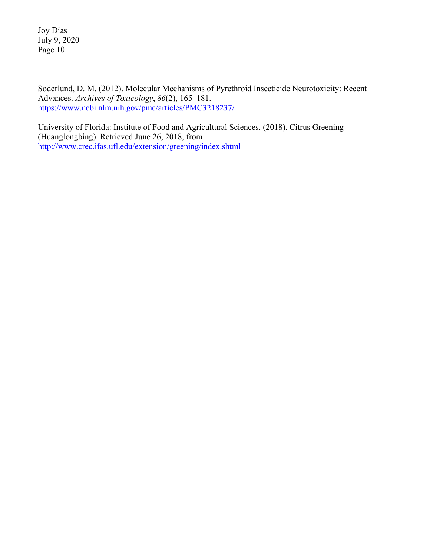Soderlund, D. M. (2012). Molecular Mechanisms of Pyrethroid Insecticide Neurotoxicity: Recent Advances. *Archives of Toxicology*, *86*(2), 165–181. <https://www.ncbi.nlm.nih.gov/pmc/articles/PMC3218237/>

University of Florida: Institute of Food and Agricultural Sciences. (2018). Citrus Greening (Huanglongbing). Retrieved June 26, 2018, from <http://www.crec.ifas.ufl.edu/extension/greening/index.shtml>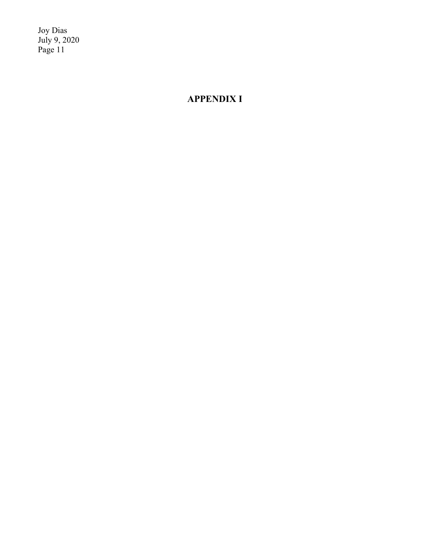# **APPENDIX I**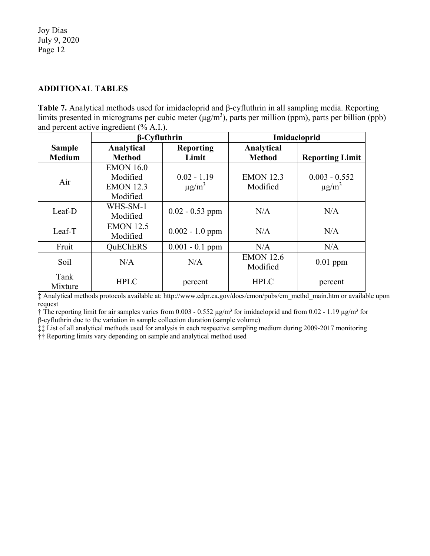### **ADDITIONAL TABLES**

**Table 7.** Analytical methods used for imidacloprid and β-cyfluthrin in all sampling media. Reporting limits presented in micrograms per cubic meter  $(\mu g/m^3)$ , parts per million (ppm), parts per billion (ppb) and percent active ingredient (% A.I.).

|                                | $\beta$ -Cyfluthrin                                          |                                         | Imidacloprid                 |                                           |
|--------------------------------|--------------------------------------------------------------|-----------------------------------------|------------------------------|-------------------------------------------|
| <b>Sample</b><br><b>Medium</b> | Analytical<br><b>Method</b>                                  | <b>Reporting</b><br>Limit               | Analytical<br><b>Method</b>  | <b>Reporting Limit</b>                    |
| Air                            | <b>EMON 16.0</b><br>Modified<br><b>EMON 12.3</b><br>Modified | $0.02 - 1.19$<br>$\mu$ g/m <sup>3</sup> | <b>EMON 12.3</b><br>Modified | $0.003 - 0.552$<br>$\mu$ g/m <sup>3</sup> |
| Leaf-D                         | WHS-SM-1<br>Modified                                         | $0.02 - 0.53$ ppm                       | N/A                          | N/A                                       |
| Leaf-T                         | <b>EMON 12.5</b><br>Modified                                 | $0.002 - 1.0$ ppm                       | N/A                          | N/A                                       |
| Fruit                          | <b>OuEChERS</b>                                              | $0.001 - 0.1$ ppm                       | N/A                          | N/A                                       |
| Soil                           | N/A                                                          | N/A                                     | <b>EMON 12.6</b><br>Modified | $0.01$ ppm                                |
| Tank<br>Mixture                | <b>HPLC</b>                                                  | percent                                 | <b>HPLC</b>                  | percent                                   |

‡ Analytical methods protocols available at: http://www.cdpr.ca.gov/docs/emon/pubs/em\_methd\_main.htm or available upon request

 $\dagger$  The reporting limit for air samples varies from 0.003 - 0.552  $\mu$ g/m<sup>3</sup> for imidacloprid and from 0.02 - 1.19  $\mu$ g/m<sup>3</sup> for β-cyfluthrin due to the variation in sample collection duration (sample volume)

‡‡ List of all analytical methods used for analysis in each respective sampling medium during 2009-2017 monitoring

†† Reporting limits vary depending on sample and analytical method used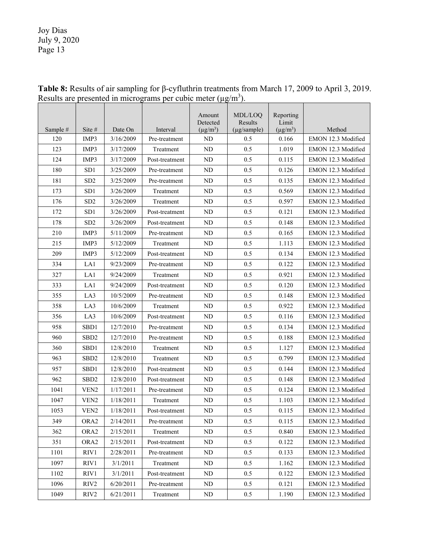|          |                   |           |                | Amount<br>Detected | MDL/LOQ<br>Results | Reporting<br>Limit |                           |
|----------|-------------------|-----------|----------------|--------------------|--------------------|--------------------|---------------------------|
| Sample # | Site #            | Date On   | Interval       | $(\mu g/m^3)$      | (µg/sample)        | $(\mu g/m^3)$      | Method                    |
| 120      | IMP3              | 3/16/2009 | Pre-treatment  | ND                 | 0.5                | 0.166              | EMON 12.3 Modified        |
| 123      | IMP3              | 3/17/2009 | Treatment      | ND                 | 0.5                | 1.019              | EMON 12.3 Modified        |
| 124      | IMP3              | 3/17/2009 | Post-treatment | ND                 | 0.5                | 0.115              | EMON 12.3 Modified        |
| 180      | SD1               | 3/25/2009 | Pre-treatment  | ND                 | 0.5                | 0.126              | EMON 12.3 Modified        |
| 181      | SD <sub>2</sub>   | 3/25/2009 | Pre-treatment  | ND                 | 0.5                | 0.135              | EMON 12.3 Modified        |
| 173      | SD1               | 3/26/2009 | Treatment      | ND                 | 0.5                | 0.569              | EMON 12.3 Modified        |
| 176      | SD <sub>2</sub>   | 3/26/2009 | Treatment      | ND                 | 0.5                | 0.597              | EMON 12.3 Modified        |
| 172      | SD <sub>1</sub>   | 3/26/2009 | Post-treatment | ND                 | 0.5                | 0.121              | EMON 12.3 Modified        |
| 178      | SD <sub>2</sub>   | 3/26/2009 | Post-treatment | ND                 | 0.5                | 0.148              | EMON 12.3 Modified        |
| 210      | IMP3              | 5/11/2009 | Pre-treatment  | ND                 | 0.5                | 0.165              | EMON 12.3 Modified        |
| 215      | IMP3              | 5/12/2009 | Treatment      | ND                 | 0.5                | 1.113              | EMON 12.3 Modified        |
| 209      | IMP3              | 5/12/2009 | Post-treatment | ND                 | 0.5                | 0.134              | EMON 12.3 Modified        |
| 334      | LA1               | 9/23/2009 | Pre-treatment  | ND                 | 0.5                | 0.122              | EMON 12.3 Modified        |
| 327      | LA1               | 9/24/2009 | Treatment      | ND                 | 0.5                | 0.921              | EMON 12.3 Modified        |
| 333      | LA1               | 9/24/2009 | Post-treatment | ND                 | 0.5                | 0.120              | EMON 12.3 Modified        |
| 355      | LA3               | 10/5/2009 | Pre-treatment  | ND                 | 0.5                | 0.148              | EMON 12.3 Modified        |
| 358      | LA3               | 10/6/2009 | Treatment      | ND                 | 0.5                | 0.922              | EMON 12.3 Modified        |
| 356      | LA3               | 10/6/2009 | Post-treatment | ND                 | 0.5                | 0.116              | EMON 12.3 Modified        |
| 958      | SBD1              | 12/7/2010 | Pre-treatment  | <b>ND</b>          | 0.5                | 0.134              | EMON 12.3 Modified        |
| 960      | SBD <sub>2</sub>  | 12/7/2010 | Pre-treatment  | ND                 | 0.5                | 0.188              | EMON 12.3 Modified        |
| 360      | SBD1              | 12/8/2010 | Treatment      | ND                 | 0.5                | 1.127              | EMON 12.3 Modified        |
| 963      | SB <sub>D</sub> 2 | 12/8/2010 | Treatment      | ND                 | 0.5                | 0.799              | EMON 12.3 Modified        |
| 957      | SB <sub>D1</sub>  | 12/8/2010 | Post-treatment | ND                 | 0.5                | 0.144              | EMON 12.3 Modified        |
| 962      | SB <sub>D</sub> 2 | 12/8/2010 | Post-treatment | ND                 | 0.5                | 0.148              | EMON 12.3 Modified        |
| 1041     | VEN <sub>2</sub>  | 1/17/2011 | Pre-treatment  | <b>ND</b>          | 0.5                | 0.124              | EMON 12.3 Modified        |
| 1047     | VEN <sub>2</sub>  | 1/18/2011 | Treatment      | ND                 | 0.5                | 1.103              | EMON 12.3 Modified        |
| 1053     | VEN <sub>2</sub>  | 1/18/2011 | Post-treatment | <b>ND</b>          | 0.5                | 0.115              | EMON 12.3 Modified        |
| 349.     | ORA <sub>2</sub>  | 2/14/2011 | Pre-treatment  | ND.                | 0.5                | 0.115              | <b>EMON 12.3 Modified</b> |
| 362      | ORA <sub>2</sub>  | 2/15/2011 | Treatment      | ND                 | 0.5                | 0.840              | EMON 12.3 Modified        |
| 351      | ORA <sub>2</sub>  | 2/15/2011 | Post-treatment | ND                 | 0.5                | 0.122              | EMON 12.3 Modified        |
| 1101     | RIV1              | 2/28/2011 | Pre-treatment  | ND                 | $0.5\,$            | 0.133              | EMON 12.3 Modified        |
| 1097     | RIV1              | 3/1/2011  | Treatment      | ND                 | 0.5                | 1.162              | EMON 12.3 Modified        |
| 1102     | RIV1              | 3/1/2011  | Post-treatment | ND                 | 0.5                | 0.122              | EMON 12.3 Modified        |
| 1096     | RIV <sub>2</sub>  | 6/20/2011 | Pre-treatment  | ND                 | 0.5                | 0.121              | EMON 12.3 Modified        |
| 1049     | RIV2              | 6/21/2011 | Treatment      | ND                 | $0.5\,$            | 1.190              | EMON 12.3 Modified        |

**Table 8:** Results of air sampling for β-cyfluthrin treatments from March 17, 2009 to April 3, 2019. Results are presented in micrograms per cubic meter  $(\mu g/m^3)$ .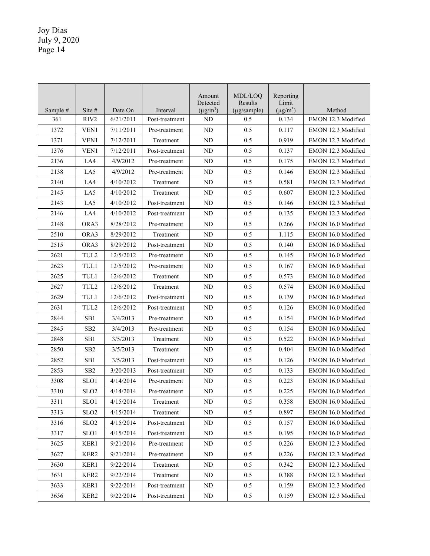|          |                               |           |                | Amount<br>Detected | MDL/LOO<br>Results | Reporting<br>Limit |                    |
|----------|-------------------------------|-----------|----------------|--------------------|--------------------|--------------------|--------------------|
| Sample # | Site #                        | Date On   | Interval       | $(\mu g/m^3)$      | $(\mu g/sample)$   | $(\mu g/m^3)$      | Method             |
| 361      | RIV <sub>2</sub>              | 6/21/2011 | Post-treatment | <b>ND</b>          | 0.5                | 0.134              | EMON 12.3 Modified |
| 1372     | VEN1                          | 7/11/2011 | Pre-treatment  | ND                 | 0.5                | 0.117              | EMON 12.3 Modified |
| 1371     | VEN1                          | 7/12/2011 | Treatment      | ND                 | 0.5                | 0.919              | EMON 12.3 Modified |
| 1376     | VEN1                          | 7/12/2011 | Post-treatment | <b>ND</b>          | 0.5                | 0.137              | EMON 12.3 Modified |
| 2136     | LA4                           | 4/9/2012  | Pre-treatment  | ND                 | 0.5                | 0.175              | EMON 12.3 Modified |
| 2138     | LA5                           | 4/9/2012  | Pre-treatment  | ND                 | 0.5                | 0.146              | EMON 12.3 Modified |
| 2140     | LA4                           | 4/10/2012 | Treatment      | ND                 | 0.5                | 0.581              | EMON 12.3 Modified |
| 2145     | LA5                           | 4/10/2012 | Treatment      | <b>ND</b>          | 0.5                | 0.607              | EMON 12.3 Modified |
| 2143     | LA5                           | 4/10/2012 | Post-treatment | <b>ND</b>          | 0.5                | 0.146              | EMON 12.3 Modified |
| 2146     | LA4                           | 4/10/2012 | Post-treatment | ND                 | 0.5                | 0.135              | EMON 12.3 Modified |
| 2148     | ORA3                          | 8/28/2012 | Pre-treatment  | ND                 | 0.5                | 0.266              | EMON 16.0 Modified |
| 2510     | ORA3                          | 8/29/2012 | Treatment      | ND                 | 0.5                | 1.115              | EMON 16.0 Modified |
| 2515     | ORA3                          | 8/29/2012 | Post-treatment | ND                 | 0.5                | 0.140              | EMON 16.0 Modified |
| 2621     | TUL2                          | 12/5/2012 | Pre-treatment  | ND                 | 0.5                | 0.145              | EMON 16.0 Modified |
| 2623     | $\ensuremath{\mathsf{TUL}} 1$ | 12/5/2012 | Pre-treatment  | ND                 | 0.5                | 0.167              | EMON 16.0 Modified |
| 2625     | TUL1                          | 12/6/2012 | Treatment      | ND                 | 0.5                | 0.573              | EMON 16.0 Modified |
| 2627     | TUL2                          | 12/6/2012 | Treatment      | ND                 | 0.5                | 0.574              | EMON 16.0 Modified |
| 2629     | TUL1                          | 12/6/2012 | Post-treatment | ND                 | 0.5                | 0.139              | EMON 16.0 Modified |
| 2631     | TUL2                          | 12/6/2012 | Post-treatment | ND                 | 0.5                | 0.126              | EMON 16.0 Modified |
| 2844     | SB <sub>1</sub>               | 3/4/2013  | Pre-treatment  | ND                 | 0.5                | 0.154              | EMON 16.0 Modified |
| 2845     | SB <sub>2</sub>               | 3/4/2013  | Pre-treatment  | ND                 | 0.5                | 0.154              | EMON 16.0 Modified |
| 2848     | SB1                           | 3/5/2013  | Treatment      | ND                 | 0.5                | 0.522              | EMON 16.0 Modified |
| 2850     | SB <sub>2</sub>               | 3/5/2013  | Treatment      | ND                 | 0.5                | 0.404              | EMON 16.0 Modified |
| 2852     | SB1                           | 3/5/2013  | Post-treatment | ND                 | 0.5                | 0.126              | EMON 16.0 Modified |
| 2853     | SB <sub>2</sub>               | 3/20/2013 | Post-treatment | ND                 | 0.5                | 0.133              | EMON 16.0 Modified |
| 3308     | SLO1                          | 4/14/2014 | Pre-treatment  | ND                 | 0.5                | 0.223              | EMON 16.0 Modified |
| 3310     | SLO <sub>2</sub>              | 4/14/2014 | Pre-treatment  | ND                 | 0.5                | 0.225              | EMON 16.0 Modified |
| 3311     | SLO1                          | 4/15/2014 | Treatment      | ND                 | 0.5                | 0.358              | EMON 16.0 Modified |
| 3313     | SLO <sub>2</sub>              | 4/15/2014 | Treatment      | ND                 | 0.5                | 0.897              | EMON 16.0 Modified |
| 3316     | SLO <sub>2</sub>              | 4/15/2014 | Post-treatment | ND                 | 0.5                | 0.157              | EMON 16.0 Modified |
| 3317     | SLO1                          | 4/15/2014 | Post-treatment | ND                 | 0.5                | 0.195              | EMON 16.0 Modified |
| 3625     | KER1                          | 9/21/2014 | Pre-treatment  | ND                 | 0.5                | 0.226              | EMON 12.3 Modified |
| 3627     | KER2                          | 9/21/2014 | Pre-treatment  | ND                 | 0.5                | 0.226              | EMON 12.3 Modified |
| 3630     | KER1                          | 9/22/2014 | Treatment      | ND                 | 0.5                | 0.342              | EMON 12.3 Modified |
| 3631     | KER <sub>2</sub>              | 9/22/2014 | Treatment      | ND                 | 0.5                | 0.388              | EMON 12.3 Modified |
| 3633     | KER1                          | 9/22/2014 | Post-treatment | ND                 | 0.5                | 0.159              | EMON 12.3 Modified |
| 3636     | KER2                          | 9/22/2014 | Post-treatment | $\rm ND$           | 0.5                | 0.159              | EMON 12.3 Modified |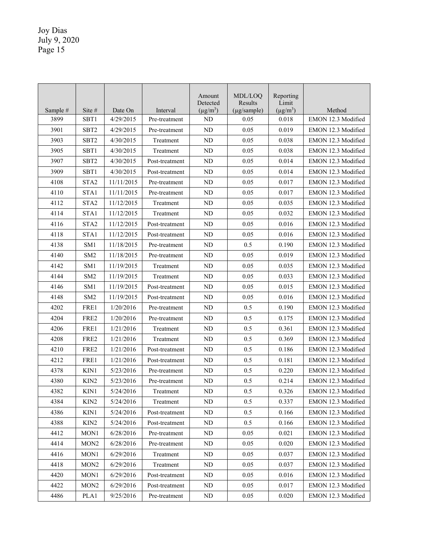|          |                  |            |                | Amount<br>Detected | MDL/LOO<br>Results | Reporting<br>Limit |                    |
|----------|------------------|------------|----------------|--------------------|--------------------|--------------------|--------------------|
| Sample # | Site #           | Date On    | Interval       | $(\mu g/m^3)$      | $(\mu$ g/sample)   | $(\mu g/m^3)$      | Method             |
| 3899     | SBT1             | 4/29/2015  | Pre-treatment  | <b>ND</b>          | 0.05               | 0.018              | EMON 12.3 Modified |
| 3901     | SBT <sub>2</sub> | 4/29/2015  | Pre-treatment  | ND                 | 0.05               | 0.019              | EMON 12.3 Modified |
| 3903     | SBT <sub>2</sub> | 4/30/2015  | Treatment      | ND                 | 0.05               | 0.038              | EMON 12.3 Modified |
| 3905     | SBT1             | 4/30/2015  | Treatment      | <b>ND</b>          | 0.05               | 0.038              | EMON 12.3 Modified |
| 3907     | SBT <sub>2</sub> | 4/30/2015  | Post-treatment | ND                 | 0.05               | 0.014              | EMON 12.3 Modified |
| 3909     | SBT <sub>1</sub> | 4/30/2015  | Post-treatment | ND                 | 0.05               | 0.014              | EMON 12.3 Modified |
| 4108     | STA <sub>2</sub> | 11/11/2015 | Pre-treatment  | ND                 | 0.05               | 0.017              | EMON 12.3 Modified |
| 4110     | STA1             | 11/11/2015 | Pre-treatment  | ND                 | 0.05               | 0.017              | EMON 12.3 Modified |
| 4112     | STA <sub>2</sub> | 11/12/2015 | Treatment      | ND                 | 0.05               | 0.035              | EMON 12.3 Modified |
| 4114     | STA1             | 11/12/2015 | Treatment      | ND                 | 0.05               | 0.032              | EMON 12.3 Modified |
| 4116     | STA <sub>2</sub> | 11/12/2015 | Post-treatment | ND                 | 0.05               | 0.016              | EMON 12.3 Modified |
| 4118     | STA1             | 11/12/2015 | Post-treatment | ND                 | 0.05               | 0.016              | EMON 12.3 Modified |
| 4138     | SM <sub>1</sub>  | 11/18/2015 | Pre-treatment  | ND                 | 0.5                | 0.190              | EMON 12.3 Modified |
| 4140     | SM <sub>2</sub>  | 11/18/2015 | Pre-treatment  | <b>ND</b>          | 0.05               | 0.019              | EMON 12.3 Modified |
| 4142     | SM <sub>1</sub>  | 11/19/2015 | Treatment      | ND                 | 0.05               | 0.035              | EMON 12.3 Modified |
| 4144     | SM <sub>2</sub>  | 11/19/2015 | Treatment      | ND                 | 0.05               | 0.033              | EMON 12.3 Modified |
| 4146     | SM <sub>1</sub>  | 11/19/2015 | Post-treatment | ND                 | 0.05               | 0.015              | EMON 12.3 Modified |
| 4148     | SM <sub>2</sub>  | 11/19/2015 | Post-treatment | ND                 | 0.05               | 0.016              | EMON 12.3 Modified |
| 4202     | FRE1             | 1/20/2016  | Pre-treatment  | ND                 | 0.5                | 0.190              | EMON 12.3 Modified |
| 4204     | FRE2             | 1/20/2016  | Pre-treatment  | ND                 | 0.5                | 0.175              | EMON 12.3 Modified |
| 4206     | FRE1             | 1/21/2016  | Treatment      | ND                 | 0.5                | 0.361              | EMON 12.3 Modified |
| 4208     | FRE <sub>2</sub> | 1/21/2016  | Treatment      | ND                 | 0.5                | 0.369              | EMON 12.3 Modified |
| 4210     | FRE <sub>2</sub> | 1/21/2016  | Post-treatment | ND                 | 0.5                | 0.186              | EMON 12.3 Modified |
| 4212     | FRE1             | 1/21/2016  | Post-treatment | ND                 | 0.5                | 0.181              | EMON 12.3 Modified |
| 4378     | KIN1             | 5/23/2016  | Pre-treatment  | ND                 | 0.5                | 0.220              | EMON 12.3 Modified |
| 4380     | KIN <sub>2</sub> | 5/23/2016  | Pre-treatment  | ND                 | 0.5                | 0.214              | EMON 12.3 Modified |
| 4382     | KIN1             | 5/24/2016  | Treatment      | ND                 | 0.5                | 0.326              | EMON 12.3 Modified |
| 4384     | KIN <sub>2</sub> | 5/24/2016  | Treatment      | ND                 | 0.5                | 0.337              | EMON 12.3 Modified |
| 4386     | KIN1             | 5/24/2016  | Post-treatment | ND                 | 0.5                | 0.166              | EMON 12.3 Modified |
| 4388     | KIN <sub>2</sub> | 5/24/2016  | Post-treatment | ND                 | $0.5\,$            | 0.166              | EMON 12.3 Modified |
| 4412     | MON1             | 6/28/2016  | Pre-treatment  | ND                 | 0.05               | 0.021              | EMON 12.3 Modified |
| 4414     | MON <sub>2</sub> | 6/28/2016  | Pre-treatment  | ND                 | 0.05               | 0.020              | EMON 12.3 Modified |
| 4416     | MON <sub>1</sub> | 6/29/2016  | Treatment      | ND                 | 0.05               | 0.037              | EMON 12.3 Modified |
| 4418     | MON <sub>2</sub> | 6/29/2016  | Treatment      | ND                 | 0.05               | 0.037              | EMON 12.3 Modified |
| 4420     | MON1             | 6/29/2016  | Post-treatment | ND                 | 0.05               | 0.016              | EMON 12.3 Modified |
| 4422     | MON <sub>2</sub> | 6/29/2016  | Post-treatment | ND                 | 0.05               | 0.017              | EMON 12.3 Modified |
| 4486     | PLA1             | 9/25/2016  | Pre-treatment  | ND                 | 0.05               | 0.020              | EMON 12.3 Modified |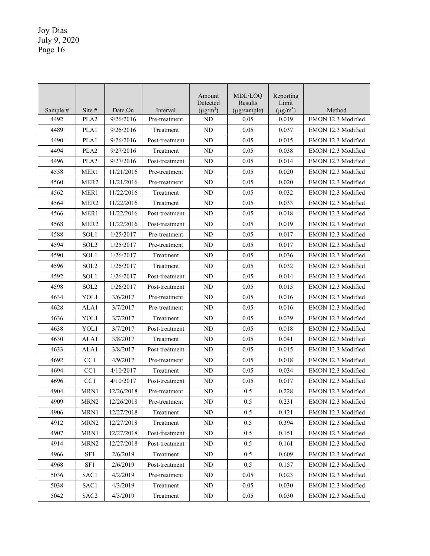|          |                  |            |                | Amount<br>Detected | MDL/LOO<br>Results | Reporting<br>Limit |                    |
|----------|------------------|------------|----------------|--------------------|--------------------|--------------------|--------------------|
| Sample # | Site #           | Date On    | Interval       | $(\mu g/m^3)$      | $(\mu g/sample)$   | $(\mu g/m^3)$      | Method             |
| 4492     | PLA <sub>2</sub> | 9/26/2016  | Pre-treatment  | <b>ND</b>          | 0.05               | 0.019              | EMON 12.3 Modified |
| 4489     | PLA1             | 9/26/2016  | Treatment      | ND                 | 0.05               | 0.037              | EMON 12.3 Modified |
| 4490     | PLA1             | 9/26/2016  | Post-treatment | ND                 | 0.05               | 0.015              | EMON 12.3 Modified |
| 4494     | PLA <sub>2</sub> | 9/27/2016  | Treatment      | <b>ND</b>          | 0.05               | 0.038              | EMON 12.3 Modified |
| 4496     | PLA <sub>2</sub> | 9/27/2016  | Post-treatment | ND                 | 0.05               | 0.014              | EMON 12.3 Modified |
| 4558     | MER1             | 11/21/2016 | Pre-treatment  | ND                 | 0.05               | 0.020              | EMON 12.3 Modified |
| 4560     | MER <sub>2</sub> | 11/21/2016 | Pre-treatment  | ND                 | 0.05               | 0.020              | EMON 12.3 Modified |
| 4562     | MER1             | 11/22/2016 | Treatment      | <b>ND</b>          | 0.05               | 0.032              | EMON 12.3 Modified |
| 4564     | MER <sub>2</sub> | 11/22/2016 | Treatment      | <b>ND</b>          | 0.05               | 0.033              | EMON 12.3 Modified |
| 4566     | MER1             | 11/22/2016 | Post-treatment | ND                 | 0.05               | 0.018              | EMON 12.3 Modified |
| 4568     | MER <sub>2</sub> | 11/22/2016 | Post-treatment | ND                 | 0.05               | 0.019              | EMON 12.3 Modified |
| 4588     | SOL1             | 1/25/2017  | Pre-treatment  | ND                 | 0.05               | 0.017              | EMON 12.3 Modified |
| 4594     | SOL <sub>2</sub> | 1/25/2017  | Pre-treatment  | ND                 | 0.05               | 0.017              | EMON 12.3 Modified |
| 4590     | SOL1             | 1/26/2017  | Treatment      | ND                 | 0.05               | 0.036              | EMON 12.3 Modified |
| 4596     | SOL2             | 1/26/2017  | Treatment      | ND                 | 0.05               | 0.032              | EMON 12.3 Modified |
| 4592     | SOL1             | 1/26/2017  | Post-treatment | ND                 | 0.05               | 0.014              | EMON 12.3 Modified |
| 4598     | SOL2             | 1/26/2017  | Post-treatment | ND                 | 0.05               | 0.015              | EMON 12.3 Modified |
| 4634     | YOL1             | 3/6/2017   | Pre-treatment  | ND                 | 0.05               | 0.016              | EMON 12.3 Modified |
| 4628     | ALA1             | 3/7/2017   | Pre-treatment  | ND                 | 0.05               | 0.016              | EMON 12.3 Modified |
| 4636     | YOL1             | 3/7/2017   | Treatment      | ND                 | 0.05               | 0.039              | EMON 12.3 Modified |
| 4638     | YOL1             | 3/7/2017   | Post-treatment | ND                 | 0.05               | 0.018              | EMON 12.3 Modified |
| 4630     | ALA1             | 3/8/2017   | Treatment      | <b>ND</b>          | 0.05               | 0.041              | EMON 12.3 Modified |
| 4633     | ALA1             | 3/8/2017   | Post-treatment | ND                 | 0.05               | 0.015              | EMON 12.3 Modified |
| 4692     | CC1              | 4/9/2017   | Pre-treatment  | ND                 | 0.05               | 0.018              | EMON 12.3 Modified |
| 4694     | CC1              | 4/10/2017  | Treatment      | ND                 | 0.05               | 0.034              | EMON 12.3 Modified |
| 4696     | CC <sub>1</sub>  | 4/10/2017  | Post-treatment | ND                 | 0.05               | 0.017              | EMON 12.3 Modified |
| 4904     | MRN1             | 12/26/2018 | Pre-treatment  | ND                 | 0.5                | 0.228              | EMON 12.3 Modified |
| 4909     | MRN <sub>2</sub> | 12/26/2018 | Pre-treatment  | ND                 | 0.5                | 0.231              | EMON 12.3 Modified |
| 4906     | MRN1             | 12/27/2018 | Treatment      | ND                 | 0.5                | 0.421              | EMON 12.3 Modified |
| 4912     | MRN <sub>2</sub> | 12/27/2018 | Treatment      | ND                 | 0.5                | 0.394              | EMON 12.3 Modified |
| 4907     | MRN1             | 12/27/2018 | Post-treatment | ND                 | 0.5                | 0.151              | EMON 12.3 Modified |
| 4914     | MRN <sub>2</sub> | 12/27/2018 | Post-treatment | ND                 | 0.5                | 0.161              | EMON 12.3 Modified |
| 4966     | SF1              | 2/6/2019   | Treatment      | ND                 | 0.5                | 0.609              | EMON 12.3 Modified |
| 4968     | SF1              | 2/6/2019   | Post-treatment | ND                 | $0.5\,$            | 0.157              | EMON 12.3 Modified |
| 5036     | SAC1             | 4/2/2019   | Pre-treatment  | ND                 | 0.05               | 0.023              | EMON 12.3 Modified |
| 5038     | SAC1             | 4/3/2019   | Treatment      | ND                 | 0.05               | 0.030              | EMON 12.3 Modified |
| 5042     | SAC <sub>2</sub> | 4/3/2019   | Treatment      | $\rm ND$           | 0.05               | 0.030              | EMON 12.3 Modified |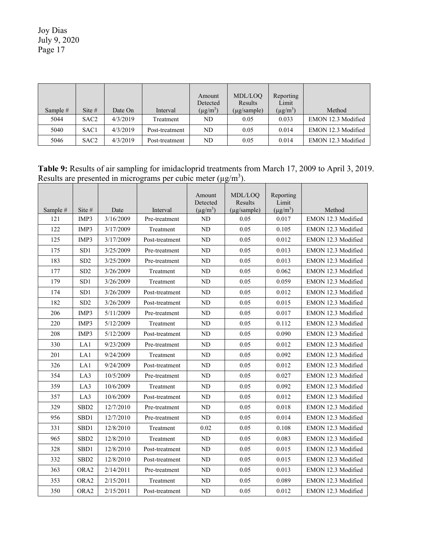|            |                  |          |                | Amount        | MDL/LOO          | Reporting     |                    |
|------------|------------------|----------|----------------|---------------|------------------|---------------|--------------------|
|            |                  |          |                | Detected      | Results          | Limit         |                    |
| Sample $#$ | Site $#$         | Date On  | Interval       | $(\mu g/m^3)$ | $(\mu$ g/sample) | $(\mu g/m^3)$ | Method             |
| 5044       | SAC <sub>2</sub> | 4/3/2019 | Treatment      | ND            | 0.05             | 0.033         | EMON 12.3 Modified |
| 5040       | SAC1             | 4/3/2019 | Post-treatment | ND            | 0.05             | 0.014         | EMON 12.3 Modified |
| 5046       | SAC <sub>2</sub> | 4/3/2019 | Post-treatment | ND            | 0.05             | 0.014         | EMON 12.3 Modified |

**Table 9:** Results of air sampling for imidacloprid treatments from March 17, 2009 to April 3, 2019. Results are presented in micrograms per cubic meter  $(\mu g/m^3)$ . 

|          |                   |           |                | Amount<br>Detected | MDL/LOQ<br>Results | Reporting<br>Limit |                    |
|----------|-------------------|-----------|----------------|--------------------|--------------------|--------------------|--------------------|
| Sample # | Site #            | Date      | Interval       | $(\mu g/m^3)$      | (µg/sample)        | $(\mu g/m^3)$      | Method             |
| 121      | IMP3              | 3/16/2009 | Pre-treatment  | ND                 | 0.05               | 0.017              | EMON 12.3 Modified |
| 122      | IMP3              | 3/17/2009 | Treatment      | N <sub>D</sub>     | 0.05               | 0.105              | EMON 12.3 Modified |
| 125      | IMP3              | 3/17/2009 | Post-treatment | N <sub>D</sub>     | 0.05               | 0.012              | EMON 12.3 Modified |
| 175      | SD1               | 3/25/2009 | Pre-treatment  | ND                 | 0.05               | 0.013              | EMON 12.3 Modified |
| 183      | SD <sub>2</sub>   | 3/25/2009 | Pre-treatment  | ND                 | 0.05               | 0.013              | EMON 12.3 Modified |
| 177      | SD <sub>2</sub>   | 3/26/2009 | Treatment      | <b>ND</b>          | 0.05               | 0.062              | EMON 12.3 Modified |
| 179      | SD <sub>1</sub>   | 3/26/2009 | Treatment      | ND                 | 0.05               | 0.059              | EMON 12.3 Modified |
| 174      | SD <sub>1</sub>   | 3/26/2009 | Post-treatment | <b>ND</b>          | 0.05               | 0.012              | EMON 12.3 Modified |
| 182      | SD <sub>2</sub>   | 3/26/2009 | Post-treatment | <b>ND</b>          | 0.05               | 0.015              | EMON 12.3 Modified |
| 206      | IMP3              | 5/11/2009 | Pre-treatment  | <b>ND</b>          | 0.05               | 0.017              | EMON 12.3 Modified |
| 220      | IMP3              | 5/12/2009 | Treatment      | <b>ND</b>          | 0.05               | 0.112              | EMON 12.3 Modified |
| 208      | IMP3              | 5/12/2009 | Post-treatment | ND                 | 0.05               | 0.090              | EMON 12.3 Modified |
| 330      | LA1               | 9/23/2009 | Pre-treatment  | <b>ND</b>          | 0.05               | 0.012              | EMON 12.3 Modified |
| 201      | LA1               | 9/24/2009 | Treatment      | ND                 | 0.05               | 0.092              | EMON 12.3 Modified |
| 326      | LA1               | 9/24/2009 | Post-treatment | ND                 | 0.05               | 0.012              | EMON 12.3 Modified |
| 354      | LA3               | 10/5/2009 | Pre-treatment  | <b>ND</b>          | 0.05               | 0.027              | EMON 12.3 Modified |
| 359      | LA3               | 10/6/2009 | Treatment      | ND                 | 0.05               | 0.092              | EMON 12.3 Modified |
| 357      | LA3               | 10/6/2009 | Post-treatment | <b>ND</b>          | 0.05               | 0.012              | EMON 12.3 Modified |
| 329      | SBD <sub>2</sub>  | 12/7/2010 | Pre-treatment  | <b>ND</b>          | 0.05               | 0.018              | EMON 12.3 Modified |
| 956      | SBD1              | 12/7/2010 | Pre-treatment  | ND                 | 0.05               | 0.014              | EMON 12.3 Modified |
| 331      | SBD1              | 12/8/2010 | Treatment      | 0.02               | 0.05               | 0.108              | EMON 12.3 Modified |
| 965      | SBD <sub>2</sub>  | 12/8/2010 | Treatment      | ND                 | 0.05               | 0.083              | EMON 12.3 Modified |
| 328      | SBD1              | 12/8/2010 | Post-treatment | <b>ND</b>          | 0.05               | 0.015              | EMON 12.3 Modified |
| 332      | SB <sub>D</sub> 2 | 12/8/2010 | Post-treatment | <b>ND</b>          | 0.05               | 0.015              | EMON 12.3 Modified |
| 363      | ORA <sub>2</sub>  | 2/14/2011 | Pre-treatment  | N <sub>D</sub>     | 0.05               | 0.013              | EMON 12.3 Modified |
| 353      | ORA2              | 2/15/2011 | Treatment      | <b>ND</b>          | 0.05               | 0.089              | EMON 12.3 Modified |
| 350      | ORA2              | 2/15/2011 | Post-treatment | ${\rm ND}$         | 0.05               | 0.012              | EMON 12.3 Modified |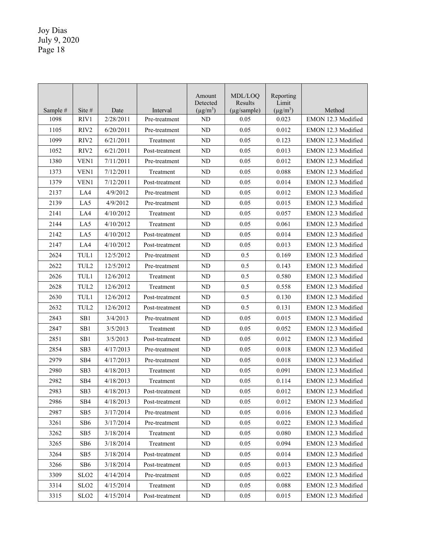|          |                  |           |                | Amount<br>Detected | MDL/LOO<br>Results | Reporting<br>Limit |                    |
|----------|------------------|-----------|----------------|--------------------|--------------------|--------------------|--------------------|
| Sample # | Site #           | Date      | Interval       | $(\mu g/m^3)$      | (µg/sample)        | $(\mu g/m^3)$      | Method             |
| 1098     | RIV1             | 2/28/2011 | Pre-treatment  | <b>ND</b>          | 0.05               | 0.023              | EMON 12.3 Modified |
| 1105     | RIV <sub>2</sub> | 6/20/2011 | Pre-treatment  | <b>ND</b>          | 0.05               | 0.012              | EMON 12.3 Modified |
| 1099     | RIV <sub>2</sub> | 6/21/2011 | Treatment      | ND                 | 0.05               | 0.123              | EMON 12.3 Modified |
| 1052     | RIV <sub>2</sub> | 6/21/2011 | Post-treatment | ND                 | 0.05               | 0.013              | EMON 12.3 Modified |
| 1380     | VEN1             | 7/11/2011 | Pre-treatment  | ND                 | 0.05               | 0.012              | EMON 12.3 Modified |
| 1373     | VEN1             | 7/12/2011 | Treatment      | ND                 | 0.05               | 0.088              | EMON 12.3 Modified |
| 1379     | VEN1             | 7/12/2011 | Post-treatment | ND                 | 0.05               | 0.014              | EMON 12.3 Modified |
| 2137     | LA4              | 4/9/2012  | Pre-treatment  | ND                 | 0.05               | 0.012              | EMON 12.3 Modified |
| 2139     | LA5              | 4/9/2012  | Pre-treatment  | ND                 | 0.05               | 0.015              | EMON 12.3 Modified |
| 2141     | LA4              | 4/10/2012 | Treatment      | <b>ND</b>          | 0.05               | 0.057              | EMON 12.3 Modified |
| 2144     | LA5              | 4/10/2012 | Treatment      | ND                 | 0.05               | 0.061              | EMON 12.3 Modified |
| 2142     | LA5              | 4/10/2012 | Post-treatment | ND                 | 0.05               | 0.014              | EMON 12.3 Modified |
| 2147     | LA4              | 4/10/2012 | Post-treatment | ND                 | 0.05               | 0.013              | EMON 12.3 Modified |
| 2624     | TUL1             | 12/5/2012 | Pre-treatment  | ND                 | 0.5                | 0.169              | EMON 12.3 Modified |
| 2622     | TUL <sub>2</sub> | 12/5/2012 | Pre-treatment  | <b>ND</b>          | 0.5                | 0.143              | EMON 12.3 Modified |
| 2626     | TUL1             | 12/6/2012 | Treatment      | <b>ND</b>          | 0.5                | 0.580              | EMON 12.3 Modified |
| 2628     | TUL <sub>2</sub> | 12/6/2012 | Treatment      | <b>ND</b>          | 0.5                | 0.558              | EMON 12.3 Modified |
| 2630     | TUL1             | 12/6/2012 | Post-treatment | ND                 | 0.5                | 0.130              | EMON 12.3 Modified |
| 2632     | TUL2             | 12/6/2012 | Post-treatment | ND                 | 0.5                | 0.131              | EMON 12.3 Modified |
| 2843     | SB <sub>1</sub>  | 3/4/2013  | Pre-treatment  | ND                 | 0.05               | 0.015              | EMON 12.3 Modified |
| 2847     | SB1              | 3/5/2013  | Treatment      | ND                 | 0.05               | 0.052              | EMON 12.3 Modified |
| 2851     | SB <sub>1</sub>  | 3/5/2013  | Post-treatment | ND                 | 0.05               | 0.012              | EMON 12.3 Modified |
| 2854     | SB <sub>3</sub>  | 4/17/2013 | Pre-treatment  | ND                 | 0.05               | 0.018              | EMON 12.3 Modified |
| 2979     | SB <sub>4</sub>  | 4/17/2013 | Pre-treatment  | ND                 | 0.05               | 0.018              | EMON 12.3 Modified |
| 2980     | SB <sub>3</sub>  | 4/18/2013 | Treatment      | ND                 | 0.05               | 0.091              | EMON 12.3 Modified |
| 2982     | SB4              | 4/18/2013 | Treatment      | ND                 | 0.05               | 0.114              | EMON 12.3 Modified |
| 2983     | SB <sub>3</sub>  | 4/18/2013 | Post-treatment | <b>ND</b>          | 0.05               | 0.012              | EMON 12.3 Modified |
| 2986     | SB4              | 4/18/2013 | Post-treatment | ND                 | 0.05               | 0.012              | EMON 12.3 Modified |
| 2987     | SB <sub>5</sub>  | 3/17/2014 | Pre-treatment  | ND                 | 0.05               | 0.016              | EMON 12.3 Modified |
| 3261     | SB6              | 3/17/2014 | Pre-treatment  | ND                 | 0.05               | 0.022              | EMON 12.3 Modified |
| 3262     | SB5              | 3/18/2014 | Treatment      | ND                 | 0.05               | 0.080              | EMON 12.3 Modified |
| 3265     | SB6              | 3/18/2014 | Treatment      | ND                 | 0.05               | 0.094              | EMON 12.3 Modified |
| 3264     | SB <sub>5</sub>  | 3/18/2014 | Post-treatment | ND                 | 0.05               | 0.014              | EMON 12.3 Modified |
| 3266     | SB <sub>6</sub>  | 3/18/2014 | Post-treatment | ND                 | 0.05               | 0.013              | EMON 12.3 Modified |
| 3309     | SLO <sub>2</sub> | 4/14/2014 | Pre-treatment  | ND                 | 0.05               | 0.022              | EMON 12.3 Modified |
| 3314     | SLO <sub>2</sub> | 4/15/2014 | Treatment      | ND                 | 0.05               | 0.088              | EMON 12.3 Modified |
| 3315     | SLO <sub>2</sub> | 4/15/2014 | Post-treatment | $\rm ND$           | 0.05               | 0.015              | EMON 12.3 Modified |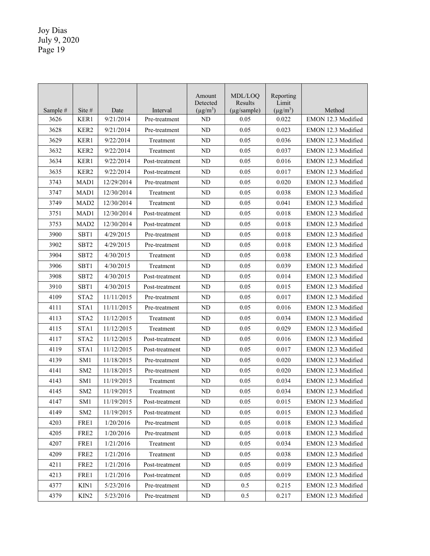|          |                  |            |                | Amount<br>Detected | MDL/LOQ<br>Results | Reporting<br>Limit |                    |
|----------|------------------|------------|----------------|--------------------|--------------------|--------------------|--------------------|
| Sample # | Site $#$         | Date       | Interval       | $(\mu g/m^3)$      | $(\mu g/sample)$   | $(\mu g/m^3)$      | Method             |
| 3626     | KER1             | 9/21/2014  | Pre-treatment  | ND                 | 0.05               | 0.022              | EMON 12.3 Modified |
| 3628     | KER <sub>2</sub> | 9/21/2014  | Pre-treatment  | ND                 | 0.05               | 0.023              | EMON 12.3 Modified |
| 3629     | KER1             | 9/22/2014  | Treatment      | ND                 | 0.05               | 0.036              | EMON 12.3 Modified |
| 3632     | KER <sub>2</sub> | 9/22/2014  | Treatment      | ND                 | 0.05               | 0.037              | EMON 12.3 Modified |
| 3634     | KER1             | 9/22/2014  | Post-treatment | ND                 | 0.05               | 0.016              | EMON 12.3 Modified |
| 3635     | KER <sub>2</sub> | 9/22/2014  | Post-treatment | <b>ND</b>          | 0.05               | 0.017              | EMON 12.3 Modified |
| 3743     | MAD1             | 12/29/2014 | Pre-treatment  | ND                 | 0.05               | 0.020              | EMON 12.3 Modified |
| 3747     | MAD1             | 12/30/2014 | Treatment      | ND                 | 0.05               | 0.038              | EMON 12.3 Modified |
| 3749     | MAD <sub>2</sub> | 12/30/2014 | Treatment      | <b>ND</b>          | 0.05               | 0.041              | EMON 12.3 Modified |
| 3751     | MAD1             | 12/30/2014 | Post-treatment | <b>ND</b>          | 0.05               | 0.018              | EMON 12.3 Modified |
| 3753     | MAD <sub>2</sub> | 12/30/2014 | Post-treatment | <b>ND</b>          | 0.05               | 0.018              | EMON 12.3 Modified |
| 3900     | SBT1             | 4/29/2015  | Pre-treatment  | <b>ND</b>          | 0.05               | 0.018              | EMON 12.3 Modified |
| 3902     | SBT <sub>2</sub> | 4/29/2015  | Pre-treatment  | <b>ND</b>          | 0.05               | 0.018              | EMON 12.3 Modified |
| 3904     | SBT <sub>2</sub> | 4/30/2015  | Treatment      | ND                 | 0.05               | 0.038              | EMON 12.3 Modified |
| 3906     | SBT <sub>1</sub> | 4/30/2015  | Treatment      | ND                 | 0.05               | 0.039              | EMON 12.3 Modified |
| 3908     | SBT <sub>2</sub> | 4/30/2015  | Post-treatment | ND                 | 0.05               | 0.014              | EMON 12.3 Modified |
| 3910     | SBT <sub>1</sub> | 4/30/2015  | Post-treatment | ND                 | 0.05               | 0.015              | EMON 12.3 Modified |
| 4109     | STA <sub>2</sub> | 11/11/2015 | Pre-treatment  | ND                 | 0.05               | 0.017              | EMON 12.3 Modified |
| 4111     | STA1             | 11/11/2015 | Pre-treatment  | <b>ND</b>          | 0.05               | 0.016              | EMON 12.3 Modified |
| 4113     | STA <sub>2</sub> | 11/12/2015 | Treatment      | <b>ND</b>          | 0.05               | 0.034              | EMON 12.3 Modified |
| 4115     | STA1             | 11/12/2015 | Treatment      | <b>ND</b>          | 0.05               | 0.029              | EMON 12.3 Modified |
| 4117     | STA <sub>2</sub> | 11/12/2015 | Post-treatment | N <sub>D</sub>     | 0.05               | 0.016              | EMON 12.3 Modified |
| 4119     | STA1             | 11/12/2015 | Post-treatment | ND                 | 0.05               | 0.017              | EMON 12.3 Modified |
| 4139     | SM <sub>1</sub>  | 11/18/2015 | Pre-treatment  | ND                 | 0.05               | 0.020              | EMON 12.3 Modified |
| 4141     | SM <sub>2</sub>  | 11/18/2015 | Pre-treatment  | <b>ND</b>          | 0.05               | 0.020              | EMON 12.3 Modified |
| 4143     | SM <sub>1</sub>  | 11/19/2015 | Treatment      | <b>ND</b>          | 0.05               | 0.034              | EMON 12.3 Modified |
| 4145     | SM <sub>2</sub>  | 11/19/2015 | Treatment      | <b>ND</b>          | 0.05               | 0.034              | EMON 12.3 Modified |
| 4147     | SM1              | 11/19/2015 | Post-treatment | ND                 | 0.05               | 0.015              | EMON 12.3 Modified |
| 4149     | SM <sub>2</sub>  | 11/19/2015 | Post-treatment | ND                 | 0.05               | 0.015              | EMON 12.3 Modified |
| 4203     | FRE1             | 1/20/2016  | Pre-treatment  | ND                 | 0.05               | 0.018              | EMON 12.3 Modified |
| 4205     | FRE2             | 1/20/2016  | Pre-treatment  | ND                 | 0.05               | 0.018              | EMON 12.3 Modified |
| 4207     | FRE1             | 1/21/2016  | Treatment      | ND                 | 0.05               | 0.034              | EMON 12.3 Modified |
| 4209     | FRE2             | 1/21/2016  | Treatment      | ND                 | 0.05               | 0.038              | EMON 12.3 Modified |
| 4211     | FRE2             | 1/21/2016  | Post-treatment | ND                 | 0.05               | 0.019              | EMON 12.3 Modified |
| 4213     | FRE1             | 1/21/2016  | Post-treatment | ND                 | 0.05               | 0.019              | EMON 12.3 Modified |
| 4377     | KIN1             | 5/23/2016  | Pre-treatment  | ND                 | 0.5                | 0.215              | EMON 12.3 Modified |
| 4379     | KIN <sub>2</sub> | 5/23/2016  | Pre-treatment  | ND                 | 0.5                | 0.217              | EMON 12.3 Modified |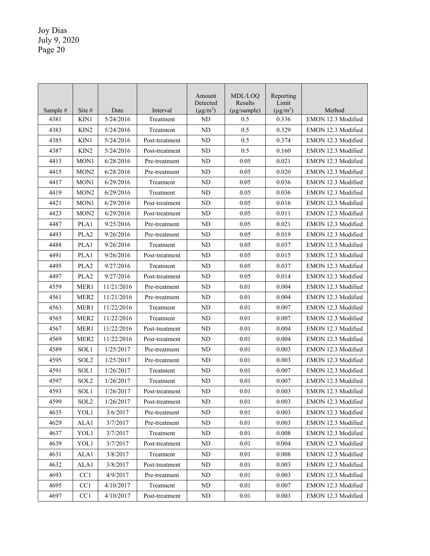|          |                  |            |                | Amount<br>Detected | MDL/LOO<br>Results | Reporting<br>Limit |                    |
|----------|------------------|------------|----------------|--------------------|--------------------|--------------------|--------------------|
| Sample # | Site #           | Date       | Interval       | $(\mu g/m^3)$      | (µg/sample)        | $(\mu g/m^3)$      | Method             |
| 4381     | KIN1             | 5/24/2016  | Treatment      | <b>ND</b>          | 0.5                | 0.336              | EMON 12.3 Modified |
| 4383     | KIN <sub>2</sub> | 5/24/2016  | Treatment      | <b>ND</b>          | 0.5                | 0.329              | EMON 12.3 Modified |
| 4385     | KIN1             | 5/24/2016  | Post-treatment | <b>ND</b>          | 0.5                | 0.374              | EMON 12.3 Modified |
| 4387     | KIN <sub>2</sub> | 5/24/2016  | Post-treatment | <b>ND</b>          | 0.5                | 0.160              | EMON 12.3 Modified |
| 4413     | MON1             | 6/28/2016  | Pre-treatment  | ND                 | 0.05               | 0.021              | EMON 12.3 Modified |
| 4415     | MON <sub>2</sub> | 6/28/2016  | Pre-treatment  | ND                 | 0.05               | 0.020              | EMON 12.3 Modified |
| 4417     | MON1             | 6/29/2016  | Treatment      | <b>ND</b>          | 0.05               | 0.036              | EMON 12.3 Modified |
| 4419     | MON <sub>2</sub> | 6/29/2016  | Treatment      | <b>ND</b>          | 0.05               | 0.036              | EMON 12.3 Modified |
| 4421     | MON1             | 6/29/2016  | Post-treatment | <b>ND</b>          | 0.05               | 0.016              | EMON 12.3 Modified |
| 4423     | MON <sub>2</sub> | 6/29/2016  | Post-treatment | <b>ND</b>          | 0.05               | 0.011              | EMON 12.3 Modified |
| 4487     | PLA1             | 9/25/2016  | Pre-treatment  | ND                 | 0.05               | 0.021              | EMON 12.3 Modified |
| 4493     | PLA <sub>2</sub> | 9/26/2016  | Pre-treatment  | <b>ND</b>          | 0.05               | 0.019              | EMON 12.3 Modified |
| 4488     | PLA1             | 9/26/2016  | Treatment      | <b>ND</b>          | 0.05               | 0.037              | EMON 12.3 Modified |
| 4491     | PLA1             | 9/26/2016  | Post-treatment | <b>ND</b>          | 0.05               | 0.015              | EMON 12.3 Modified |
| 4495     | PLA <sub>2</sub> | 9/27/2016  | Treatment      | <b>ND</b>          | 0.05               | 0.037              | EMON 12.3 Modified |
| 4497     | PLA <sub>2</sub> | 9/27/2016  | Post-treatment | <b>ND</b>          | 0.05               | 0.014              | EMON 12.3 Modified |
| 4559     | MER1             | 11/21/2016 | Pre-treatment  | <b>ND</b>          | 0.01               | 0.004              | EMON 12.3 Modified |
| 4561     | MER <sub>2</sub> | 11/21/2016 | Pre-treatment  | ND                 | 0.01               | 0.004              | EMON 12.3 Modified |
| 4563     | MER <sub>1</sub> | 11/22/2016 | Treatment      | ND                 | 0.01               | 0.007              | EMON 12.3 Modified |
| 4565     | MER <sub>2</sub> | 11/22/2016 | Treatment      | ND                 | 0.01               | 0.007              | EMON 12.3 Modified |
| 4567     | MER <sub>1</sub> | 11/22/2016 | Post-treatment | <b>ND</b>          | 0.01               | 0.004              | EMON 12.3 Modified |
| 4569     | MER <sub>2</sub> | 11/22/2016 | Post-treatment | ND                 | 0.01               | 0.004              | EMON 12.3 Modified |
| 4589     | SOL1             | 1/25/2017  | Pre-treatment  | ND                 | 0.01               | 0.003              | EMON 12.3 Modified |
| 4595     | SOL <sub>2</sub> | 1/25/2017  | Pre-treatment  | ND                 | 0.01               | 0.003              | EMON 12.3 Modified |
| 4591     | SOL1             | 1/26/2017  | Treatment      | <b>ND</b>          | 0.01               | 0.007              | EMON 12.3 Modified |
| 4597     | SOL <sub>2</sub> | 1/26/2017  | Treatment      | ND                 | 0.01               | 0.007              | EMON 12.3 Modified |
| 4593     | SOL1             | 1/26/2017  | Post-treatment | <b>ND</b>          | 0.01               | 0.003              | EMON 12.3 Modified |
| 4599     | SOL <sub>2</sub> | 1/26/2017  | Post-treatment | ND                 | 0.01               | 0.003              | EMON 12.3 Modified |
| 4635     | YOL1             | 3/6/2017   | Pre-treatment  | ND                 | 0.01               | 0.003              | EMON 12.3 Modified |
| 4629     | ALA1             | 3/7/2017   | Pre-treatment  | ND                 | $0.01\,$           | 0.003              | EMON 12.3 Modified |
| 4637     | YOL1             | 3/7/2017   | Treatment      | ND                 | 0.01               | 0.008              | EMON 12.3 Modified |
| 4639     | YOL1             | 3/7/2017   | Post-treatment | ND                 | 0.01               | 0.004              | EMON 12.3 Modified |
| 4631     | ALA1             | 3/8/2017   | Treatment      | ND                 | 0.01               | 0.008              | EMON 12.3 Modified |
| 4632     | ALA1             | 3/8/2017   | Post-treatment | ND                 | $0.01\,$           | 0.003              | EMON 12.3 Modified |
| 4693     | CC1              | 4/9/2017   | Pre-treatment  | ND                 | 0.01               | 0.003              | EMON 12.3 Modified |
| 4695     | CC1              | 4/10/2017  | Treatment      | ND                 | 0.01               | 0.007              | EMON 12.3 Modified |
| 4697     | CC <sub>1</sub>  | 4/10/2017  | Post-treatment | $\rm ND$           | 0.01               | 0.003              | EMON 12.3 Modified |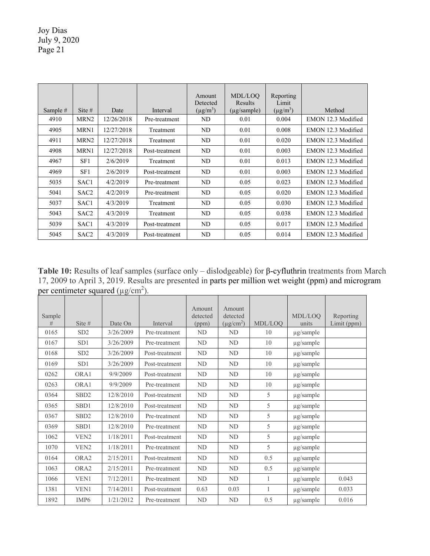|            |                  |            |                | Amount<br>Detected | MDL/LOO<br>Results | Reporting<br>Limit |                    |
|------------|------------------|------------|----------------|--------------------|--------------------|--------------------|--------------------|
| Sample $#$ | Site $#$         | Date       | Interval       | $(\mu g/m^3)$      | (µg/sample)        | $(\mu g/m^3)$      | Method             |
| 4910       | MRN <sub>2</sub> | 12/26/2018 | Pre-treatment  | ND                 | 0.01               | 0.004              | EMON 12.3 Modified |
| 4905       | MRN1             | 12/27/2018 | Treatment      | ND                 | 0.01               | 0.008              | EMON 12.3 Modified |
| 4911       | MRN <sub>2</sub> | 12/27/2018 | Treatment      | ND                 | 0.01               | 0.020              | EMON 12.3 Modified |
| 4908       | MRN1             | 12/27/2018 | Post-treatment | ND                 | 0.01               | 0.003              | EMON 12.3 Modified |
| 4967       | SF1              | 2/6/2019   | Treatment      | ND                 | 0.01               | 0.013              | EMON 12.3 Modified |
| 4969       | SF1              | 2/6/2019   | Post-treatment | ND                 | 0.01               | 0.003              | EMON 12.3 Modified |
| 5035       | SAC <sub>1</sub> | 4/2/2019   | Pre-treatment  | ND                 | 0.05               | 0.023              | EMON 12.3 Modified |
| 5041       | SAC <sub>2</sub> | 4/2/2019   | Pre-treatment  | ND                 | 0.05               | 0.020              | EMON 12.3 Modified |
| 5037       | SAC <sub>1</sub> | 4/3/2019   | Treatment      | ND                 | 0.05               | 0.030              | EMON 12.3 Modified |
| 5043       | SAC <sub>2</sub> | 4/3/2019   | Treatment      | ND                 | 0.05               | 0.038              | EMON 12.3 Modified |
| 5039       | SAC <sub>1</sub> | 4/3/2019   | Post-treatment | ND                 | 0.05               | 0.017              | EMON 12.3 Modified |
| 5045       | SAC <sub>2</sub> | 4/3/2019   | Post-treatment | ND                 | 0.05               | 0.014              | EMON 12.3 Modified |

**Table 10:** Results of leaf samples (surface only – dislodgeable) for β-cyfluthrin treatments from March 17, 2009 to April 3, 2019. Results are presented in parts per million wet weight (ppm) and microgram per centimeter squared ( $\mu$ g/cm<sup>2</sup>).

| Sample<br># | Site $#$          | Date On   | Interval       | Amount<br>detected<br>(ppm) | Amount<br>detected<br>$(\mu g/cm^2)$ | MDL/LOO | MDL/LOO<br>units | Reporting<br>Limit (ppm) |
|-------------|-------------------|-----------|----------------|-----------------------------|--------------------------------------|---------|------------------|--------------------------|
| 0165        | SD <sub>2</sub>   | 3/26/2009 | Pre-treatment  | ND                          | ND                                   | 10      | µg/sample        |                          |
| 0167        | SD <sub>1</sub>   | 3/26/2009 | Pre-treatment  | ND                          | ND.                                  | 10      | $\mu$ g/sample   |                          |
| 0168        | SD <sub>2</sub>   | 3/26/2009 | Post-treatment | <b>ND</b>                   | ND                                   | 10      | µg/sample        |                          |
| 0169        | SD <sub>1</sub>   | 3/26/2009 | Post-treatment | <b>ND</b>                   | ND                                   | 10      | µg/sample        |                          |
| 0262        | ORA1              | 9/9/2009  | Post-treatment | ND                          | ND                                   | 10      | $\mu$ g/sample   |                          |
| 0263        | ORA1              | 9/9/2009  | Pre-treatment  | ND                          | ND                                   | 10      | $\mu$ g/sample   |                          |
| 0364        | SB <sub>D</sub> 2 | 12/8/2010 | Post-treatment | ND                          | ND                                   | 5       | µg/sample        |                          |
| 0365        | SBD1              | 12/8/2010 | Post-treatment | ND                          | ND.                                  | 5       | $\mu$ g/sample   |                          |
| 0367        | SB <sub>D</sub> 2 | 12/8/2010 | Pre-treatment  | ND                          | ND.                                  | 5       | $\mu$ g/sample   |                          |
| 0369        | SBD1              | 12/8/2010 | Pre-treatment  | <b>ND</b>                   | ND                                   | 5       | µg/sample        |                          |
| 1062        | VEN <sub>2</sub>  | 1/18/2011 | Post-treatment | <b>ND</b>                   | ND                                   | 5       | µg/sample        |                          |
| 1070        | VEN <sub>2</sub>  | 1/18/2011 | Pre-treatment  | <b>ND</b>                   | ND                                   | 5       | µg/sample        |                          |
| 0164        | ORA <sub>2</sub>  | 2/15/2011 | Post-treatment | ND                          | <b>ND</b>                            | 0.5     | µg/sample        |                          |
| 1063        | ORA <sub>2</sub>  | 2/15/2011 | Pre-treatment  | <b>ND</b>                   | ND                                   | 0.5     | µg/sample        |                          |
| 1066        | VEN1              | 7/12/2011 | Pre-treatment  | <b>ND</b>                   | ND                                   | 1       | $\mu$ g/sample   | 0.043                    |
| 1381        | VEN1              | 7/14/2011 | Post-treatment | 0.63                        | 0.03                                 | 1       | $\mu$ g/sample   | 0.033                    |
| 1892        | IMP <sub>6</sub>  | 1/21/2012 | Pre-treatment  | <b>ND</b>                   | <b>ND</b>                            | 0.5     | $\mu$ g/sample   | 0.016                    |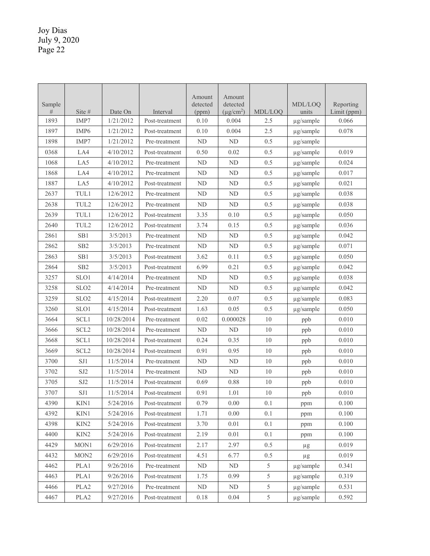|             |                  |            |                | Amount            | Amount                     |               |                  |                          |
|-------------|------------------|------------|----------------|-------------------|----------------------------|---------------|------------------|--------------------------|
| Sample<br># | Site #           | Date On    | Interval       | detected<br>(ppm) | detected<br>$(\mu g/cm^2)$ | MDL/LOQ       | MDL/LOO<br>units | Reporting<br>Limit (ppm) |
| 1893        | IMP7             | 1/21/2012  | Post-treatment | 0.10              | 0.004                      | 2.5           | µg/sample        | 0.066                    |
| 1897        | IMP <sub>6</sub> | 1/21/2012  | Post-treatment | 0.10              | 0.004                      | 2.5           | µg/sample        | 0.078                    |
| 1898        | IMP7             | 1/21/2012  | Pre-treatment  | ND                | ND                         | 0.5           | µg/sample        |                          |
| 0368        | LA4              | 4/10/2012  | Post-treatment | 0.50              | 0.02                       | 0.5           | µg/sample        | 0.019                    |
| 1068        | LA5              | 4/10/2012  | Pre-treatment  | ND                | ND                         | 0.5           | µg/sample        | 0.024                    |
| 1868        | LA4              | 4/10/2012  | Pre-treatment  | $\mbox{ND}$       | ${\rm ND}$                 | 0.5           | µg/sample        | 0.017                    |
| 1887        | LA5              | 4/10/2012  | Post-treatment | <b>ND</b>         | <b>ND</b>                  | 0.5           | µg/sample        | 0.021                    |
| 2637        | TUL1             | 12/6/2012  | Pre-treatment  | $\mbox{ND}$       | ND                         | 0.5           | µg/sample        | 0.038                    |
| 2638        | TUL2             | 12/6/2012  | Pre-treatment  | <b>ND</b>         | ND                         | 0.5           | µg/sample        | 0.038                    |
| 2639        | TUL1             | 12/6/2012  | Post-treatment | 3.35              | 0.10                       | 0.5           | µg/sample        | 0.050                    |
| 2640        | TUL2             | 12/6/2012  | Post-treatment | 3.74              | 0.15                       | 0.5           | µg/sample        | 0.036                    |
| 2861        | SB1              | 3/5/2013   | Pre-treatment  | ND                | ${\rm ND}$                 | 0.5           | $\mu$ g/sample   | 0.042                    |
| 2862        | SB <sub>2</sub>  | 3/5/2013   | Pre-treatment  | <b>ND</b>         | ND                         | 0.5           | µg/sample        | 0.071                    |
| 2863        | SB1              | 3/5/2013   | Post-treatment | 3.62              | 0.11                       | 0.5           | $\mu$ g/sample   | 0.050                    |
| 2864        | SB <sub>2</sub>  | 3/5/2013   | Post-treatment | 6.99              | 0.21                       | 0.5           | $\mu$ g/sample   | 0.042                    |
| 3257        | SLO1             | 4/14/2014  | Pre-treatment  | ${\rm ND}$        | ND                         | 0.5           | $\mu$ g/sample   | 0.038                    |
| 3258        | SLO <sub>2</sub> | 4/14/2014  | Pre-treatment  | <b>ND</b>         | ND                         | 0.5           | µg/sample        | 0.042                    |
| 3259        | SLO <sub>2</sub> | 4/15/2014  | Post-treatment | 2.20              | 0.07                       | 0.5           | µg/sample        | 0.083                    |
| 3260        | SLO1             | 4/15/2014  | Post-treatment | 1.63              | 0.05                       | 0.5           | µg/sample        | 0.050                    |
| 3664        | SCL1             | 10/28/2014 | Pre-treatment  | 0.02              | 0.000028                   | 10            | ppb              | 0.010                    |
| 3666        | SCL <sub>2</sub> | 10/28/2014 | Pre-treatment  | <b>ND</b>         | ND                         | 10            | ppb              | 0.010                    |
| 3668        | SCL1             | 10/28/2014 | Post-treatment | 0.24              | 0.35                       | 10            | ppb              | 0.010                    |
| 3669        | SCL <sub>2</sub> | 10/28/2014 | Post-treatment | 0.91              | 0.95                       | 10            | ppb              | 0.010                    |
| 3700        | SJ1              | 11/5/2014  | Pre-treatment  | ${\rm ND}$        | ND                         | 10            | ppb              | 0.010                    |
| 3702        | SJ <sub>2</sub>  | 11/5/2014  | Pre-treatment  | ND                | ${\rm ND}$                 | 10            | ppb              | 0.010                    |
| 3705        | SJ <sub>2</sub>  | 11/5/2014  | Post-treatment | 0.69              | 0.88                       | 10            | ppb              | 0.010                    |
| 3707        | SJ1              | 11/5/2014  | Post-treatment | 0.91              | 1.01                       | $10\,$        | ppb              | 0.010                    |
| 4390        | KIN1             | 5/24/2016  | Post-treatment | 0.79              | 0.00                       | 0.1           | ppm              | 0.100                    |
| 4392        | KIN1             | 5/24/2016  | Post-treatment | 1.71              | $0.00\,$                   | 0.1           | ppm              | 0.100                    |
| 4398        | KIN <sub>2</sub> | 5/24/2016  | Post-treatment | 3.70              | 0.01                       | 0.1           | ppm              | 0.100                    |
| 4400        | KIN2             | 5/24/2016  | Post-treatment | 2.19              | 0.01                       | 0.1           | ppm              | 0.100                    |
| 4429        | MON1             | 6/29/2016  | Post-treatment | 2.17              | 2.97                       | 0.5           | $\mu$ g          | 0.019                    |
| 4432        | MON <sub>2</sub> | 6/29/2016  | Post-treatment | 4.51              | 6.77                       | 0.5           | $\mu g$          | 0.019                    |
| 4462        | PLA1             | 9/26/2016  | Pre-treatment  | ${\rm ND}$        | ND                         | 5             | µg/sample        | 0.341                    |
| 4463        | PLA1             | 9/26/2016  | Post-treatment | 1.75              | 0.99                       | 5             | µg/sample        | 0.319                    |
| 4466        | PLA <sub>2</sub> | 9/27/2016  | Pre-treatment  | ND                | ND                         | 5             | µg/sample        | 0.531                    |
| 4467        | PLA <sub>2</sub> | 9/27/2016  | Post-treatment | 0.18              | 0.04                       | $\mathfrak s$ | µg/sample        | 0.592                    |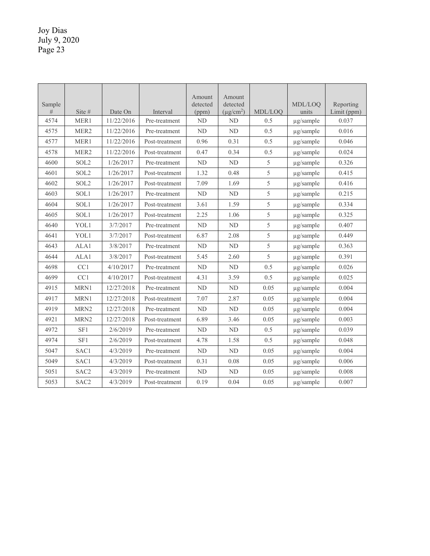| Sample<br># | Site $#$         | Date On    | Interval       | Amount<br>detected<br>(ppm) | Amount<br>detected<br>$(\mu$ g/cm <sup>2</sup> ) | MDL/LOQ       | MDL/LOO<br>units | Reporting<br>Limit (ppm) |
|-------------|------------------|------------|----------------|-----------------------------|--------------------------------------------------|---------------|------------------|--------------------------|
| 4574        | MER1             | 11/22/2016 | Pre-treatment  | ND                          | ND                                               | 0.5           | $\mu$ g/sample   | 0.037                    |
| 4575        | MER <sub>2</sub> | 11/22/2016 | Pre-treatment  | <b>ND</b>                   | <b>ND</b>                                        | 0.5           | $\mu$ g/sample   | 0.016                    |
| 4577        | MER1             | 11/22/2016 | Post-treatment | 0.96                        | 0.31                                             | 0.5           | µg/sample        | 0.046                    |
| 4578        | MER <sub>2</sub> | 11/22/2016 | Post-treatment | 0.47                        | 0.34                                             | 0.5           | $\mu$ g/sample   | 0.024                    |
| 4600        | SOL2             | 1/26/2017  | Pre-treatment  | ND                          | ND                                               | 5             | $\mu$ g/sample   | 0.326                    |
| 4601        | SOL2             | 1/26/2017  | Post-treatment | 1.32                        | 0.48                                             | $\mathfrak s$ | µg/sample        | 0.415                    |
| 4602        | SOL <sub>2</sub> | 1/26/2017  | Post-treatment | 7.09                        | 1.69                                             | 5             | $\mu$ g/sample   | 0.416                    |
| 4603        | SOL1             | 1/26/2017  | Pre-treatment  | <b>ND</b>                   | <b>ND</b>                                        | 5             | µg/sample        | 0.215                    |
| 4604        | SOL1             | 1/26/2017  | Post-treatment | 3.61                        | 1.59                                             | 5             | µg/sample        | 0.334                    |
| 4605        | SOL1             | 1/26/2017  | Post-treatment | 2.25                        | 1.06                                             | 5             | $\mu$ g/sample   | 0.325                    |
| 4640        | YOL1             | 3/7/2017   | Pre-treatment  | <b>ND</b>                   | ND                                               | 5             | µg/sample        | 0.407                    |
| 4641        | YOL1             | 3/7/2017   | Post-treatment | 6.87                        | 2.08                                             | 5             | µg/sample        | 0.449                    |
| 4643        | ALA1             | 3/8/2017   | Pre-treatment  | ND                          | ND                                               | 5             | $\mu$ g/sample   | 0.363                    |
| 4644        | ALA1             | 3/8/2017   | Post-treatment | 5.45                        | 2.60                                             | 5             | µg/sample        | 0.391                    |
| 4698        | CC1              | 4/10/2017  | Pre-treatment  | ND                          | ND                                               | 0.5           | µg/sample        | 0.026                    |
| 4699        | CC1              | 4/10/2017  | Post-treatment | 4.31                        | 3.59                                             | 0.5           | $\mu$ g/sample   | 0.025                    |
| 4915        | MRN1             | 12/27/2018 | Pre-treatment  | ND                          | ND                                               | 0.05          | $\mu$ g/sample   | 0.004                    |
| 4917        | MRN1             | 12/27/2018 | Post-treatment | 7.07                        | 2.87                                             | 0.05          | µg/sample        | 0.004                    |
| 4919        | MRN <sub>2</sub> | 12/27/2018 | Pre-treatment  | ND                          | ND                                               | 0.05          | µg/sample        | 0.004                    |
| 4921        | MRN <sub>2</sub> | 12/27/2018 | Post-treatment | 6.89                        | 3.46                                             | 0.05          | $\mu$ g/sample   | 0.003                    |
| 4972        | SF1              | 2/6/2019   | Pre-treatment  | ND                          | ND                                               | 0.5           | µg/sample        | 0.039                    |
| 4974        | SF1              | 2/6/2019   | Post-treatment | 4.78                        | 1.58                                             | 0.5           | $\mu$ g/sample   | 0.048                    |
| 5047        | SAC1             | 4/3/2019   | Pre-treatment  | <b>ND</b>                   | <b>ND</b>                                        | 0.05          | µg/sample        | 0.004                    |
| 5049        | SAC1             | 4/3/2019   | Post-treatment | 0.31                        | 0.08                                             | 0.05          | $\mu$ g/sample   | 0.006                    |
| 5051        | SAC <sub>2</sub> | 4/3/2019   | Pre-treatment  | ND                          | ND                                               | 0.05          | $\mu$ g/sample   | 0.008                    |
| 5053        | SAC <sub>2</sub> | 4/3/2019   | Post-treatment | 0.19                        | 0.04                                             | 0.05          | $\mu$ g/sample   | 0.007                    |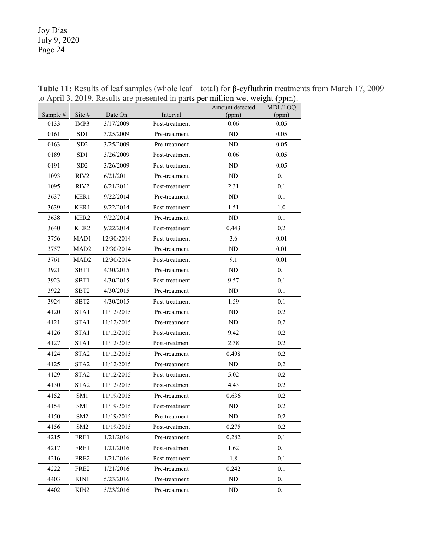|          |                  |            | $\frac{1}{2}$ $\frac{1}{2}$ $\frac{1}{2}$ , $\frac{1}{2}$ $\frac{1}{2}$ $\frac{1}{2}$ $\frac{1}{2}$ $\frac{1}{2}$ $\frac{1}{2}$ $\frac{1}{2}$ $\frac{1}{2}$ $\frac{1}{2}$ $\frac{1}{2}$ $\frac{1}{2}$ $\frac{1}{2}$ $\frac{1}{2}$ $\frac{1}{2}$ $\frac{1}{2}$ $\frac{1}{2}$ $\frac{1}{2}$ $\frac{1}{2}$ $\frac{1}{2}$ |                          |                  |
|----------|------------------|------------|-----------------------------------------------------------------------------------------------------------------------------------------------------------------------------------------------------------------------------------------------------------------------------------------------------------------------|--------------------------|------------------|
| Sample # | Site #           | Date On    | Interval                                                                                                                                                                                                                                                                                                              | Amount detected<br>(ppm) | MDL/LOQ<br>(ppm) |
| 0133     | IMP3             | 3/17/2009  | Post-treatment                                                                                                                                                                                                                                                                                                        | 0.06                     | 0.05             |
| 0161     | SD1              | 3/25/2009  | Pre-treatment                                                                                                                                                                                                                                                                                                         | ND                       | 0.05             |
| 0163     | SD <sub>2</sub>  | 3/25/2009  | Pre-treatment                                                                                                                                                                                                                                                                                                         | ND                       | 0.05             |
| 0189     | SD1              | 3/26/2009  | Post-treatment                                                                                                                                                                                                                                                                                                        | 0.06                     | 0.05             |
| 0191     | SD <sub>2</sub>  | 3/26/2009  | Post-treatment                                                                                                                                                                                                                                                                                                        | ND                       | 0.05             |
| 1093     | RIV2             | 6/21/2011  | Pre-treatment                                                                                                                                                                                                                                                                                                         | <b>ND</b>                | 0.1              |
| 1095     | RIV2             | 6/21/2011  | Post-treatment                                                                                                                                                                                                                                                                                                        | 2.31                     | 0.1              |
| 3637     | KER1             | 9/22/2014  | Pre-treatment                                                                                                                                                                                                                                                                                                         | ND                       | 0.1              |
| 3639     | KER1             | 9/22/2014  | Post-treatment                                                                                                                                                                                                                                                                                                        | 1.51                     | 1.0              |
| 3638     | KER2             | 9/22/2014  | Pre-treatment                                                                                                                                                                                                                                                                                                         | ND                       | 0.1              |
| 3640     | KER2             | 9/22/2014  | Post-treatment                                                                                                                                                                                                                                                                                                        | 0.443                    | 0.2              |
| 3756     | MAD1             | 12/30/2014 | Post-treatment                                                                                                                                                                                                                                                                                                        | 3.6                      | 0.01             |
| 3757     | MAD <sub>2</sub> | 12/30/2014 | Pre-treatment                                                                                                                                                                                                                                                                                                         | ND                       | 0.01             |
| 3761     | MAD <sub>2</sub> | 12/30/2014 | Post-treatment                                                                                                                                                                                                                                                                                                        | 9.1                      | 0.01             |
| 3921     | SBT1             | 4/30/2015  | Pre-treatment                                                                                                                                                                                                                                                                                                         | ND                       | 0.1              |
| 3923     | SBT1             | 4/30/2015  | Post-treatment                                                                                                                                                                                                                                                                                                        | 9.57                     | 0.1              |
| 3922     | SBT2             | 4/30/2015  | Pre-treatment                                                                                                                                                                                                                                                                                                         | ND                       | 0.1              |
| 3924     | SBT2             | 4/30/2015  | Post-treatment                                                                                                                                                                                                                                                                                                        | 1.59                     | 0.1              |
| 4120     | STA1             | 11/12/2015 | Pre-treatment                                                                                                                                                                                                                                                                                                         | ND                       | 0.2              |
| 4121     | STA1             | 11/12/2015 | Pre-treatment                                                                                                                                                                                                                                                                                                         | ND                       | 0.2              |
| 4126     | STA <sub>1</sub> | 11/12/2015 | Post-treatment                                                                                                                                                                                                                                                                                                        | 9.42                     | 0.2              |
| 4127     | STA1             | 11/12/2015 | Post-treatment                                                                                                                                                                                                                                                                                                        | 2.38                     | 0.2              |
| 4124     | STA <sub>2</sub> | 11/12/2015 | Pre-treatment                                                                                                                                                                                                                                                                                                         | 0.498                    | 0.2              |
| 4125     | STA <sub>2</sub> | 11/12/2015 | Pre-treatment                                                                                                                                                                                                                                                                                                         | ND                       | 0.2              |
| 4129     | STA <sub>2</sub> | 11/12/2015 | Post-treatment                                                                                                                                                                                                                                                                                                        | 5.02                     | 0.2              |
| 4130     | STA <sub>2</sub> | 11/12/2015 | Post-treatment                                                                                                                                                                                                                                                                                                        | 4.43                     | 0.2              |
| 4152     | SM1              | 11/19/2015 | Pre-treatment                                                                                                                                                                                                                                                                                                         | 0.636                    | 0.2              |
| 4154     | SM1              | 11/19/2015 | Post-treatment                                                                                                                                                                                                                                                                                                        | ND                       | 0.2              |
| 4150     | SM <sub>2</sub>  | 11/19/2015 | Pre-treatment                                                                                                                                                                                                                                                                                                         | ND.                      | 0.2              |
| 4156     | SM <sub>2</sub>  | 11/19/2015 | Post-treatment                                                                                                                                                                                                                                                                                                        | 0.275                    | 0.2              |
| 4215     | FRE1             | 1/21/2016  | Pre-treatment                                                                                                                                                                                                                                                                                                         | 0.282                    | 0.1              |
| 4217     | FRE1             | 1/21/2016  | Post-treatment                                                                                                                                                                                                                                                                                                        | 1.62                     | 0.1              |
| 4216     | FRE2             | 1/21/2016  | Post-treatment                                                                                                                                                                                                                                                                                                        | 1.8                      | 0.1              |
| 4222     | FRE2             | 1/21/2016  | Pre-treatment                                                                                                                                                                                                                                                                                                         | 0.242                    | 0.1              |
| 4403     | KIN1             | 5/23/2016  | Pre-treatment                                                                                                                                                                                                                                                                                                         | ND                       | 0.1              |
| 4402     | KIN <sub>2</sub> | 5/23/2016  | Pre-treatment                                                                                                                                                                                                                                                                                                         | ND                       | 0.1              |

**Table 11:** Results of leaf samples (whole leaf – total) for β-cyfluthrin treatments from March 17, 2009 to April 3, 2019. Results are presented in parts per million wet weight (ppm).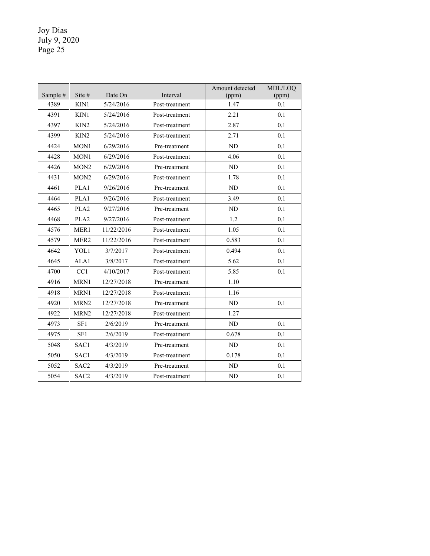| Sample # | Site $#$         | Date On    | Interval       | Amount detected<br>(ppm) | MDL/LOO<br>(ppm) |
|----------|------------------|------------|----------------|--------------------------|------------------|
| 4389     | KIN1             | 5/24/2016  | Post-treatment | 1.47                     | 0.1              |
| 4391     | KIN1             | 5/24/2016  | Post-treatment | 2.21                     | 0.1              |
| 4397     | KIN <sub>2</sub> | 5/24/2016  | Post-treatment | 2.87                     | 0.1              |
| 4399     | KIN <sub>2</sub> | 5/24/2016  | Post-treatment | 2.71                     | 0.1              |
| 4424     | MON1             | 6/29/2016  | Pre-treatment  | <b>ND</b>                | 0.1              |
| 4428     | MON1             | 6/29/2016  | Post-treatment | 4.06                     | 0.1              |
| 4426     | MON <sub>2</sub> | 6/29/2016  | Pre-treatment  | ND                       | 0.1              |
| 4431     | MON <sub>2</sub> | 6/29/2016  | Post-treatment | 1.78                     | 0.1              |
| 4461     | PLA1             | 9/26/2016  | Pre-treatment  | ND                       | 0.1              |
| 4464     | PLA1             | 9/26/2016  | Post-treatment | 3.49                     | 0.1              |
| 4465     | PLA <sub>2</sub> | 9/27/2016  | Pre-treatment  | ND.                      | 0.1              |
| 4468     | PLA <sub>2</sub> | 9/27/2016  | Post-treatment | 1.2                      | 0.1              |
| 4576     | MER1             | 11/22/2016 | Post-treatment | 1.05                     | 0.1              |
| 4579     | MER <sub>2</sub> | 11/22/2016 | Post-treatment | 0.583                    | 0.1              |
| 4642     | YOL1             | 3/7/2017   | Post-treatment | 0.494                    | 0.1              |
| 4645     | ALA1             | 3/8/2017   | Post-treatment | 5.62                     | 0.1              |
| 4700     | CC1              | 4/10/2017  | Post-treatment | 5.85                     | 0.1              |
| 4916     | MRN1             | 12/27/2018 | Pre-treatment  | 1.10                     |                  |
| 4918     | MRN1             | 12/27/2018 | Post-treatment | 1.16                     |                  |
| 4920     | MRN <sub>2</sub> | 12/27/2018 | Pre-treatment  | <b>ND</b>                | 0.1              |
| 4922     | MRN <sub>2</sub> | 12/27/2018 | Post-treatment | 1.27                     |                  |
| 4973     | SF1              | 2/6/2019   | Pre-treatment  | ND                       | 0.1              |
| 4975     | SF1              | 2/6/2019   | Post-treatment | 0.678                    | 0.1              |
| 5048     | SAC1             | 4/3/2019   | Pre-treatment  | ND                       | 0.1              |
| 5050     | SAC1             | 4/3/2019   | Post-treatment | 0.178                    | 0.1              |
| 5052     | SAC <sub>2</sub> | 4/3/2019   | Pre-treatment  | ND                       | 0.1              |
| 5054     | SAC <sub>2</sub> | 4/3/2019   | Post-treatment | ND                       | 0.1              |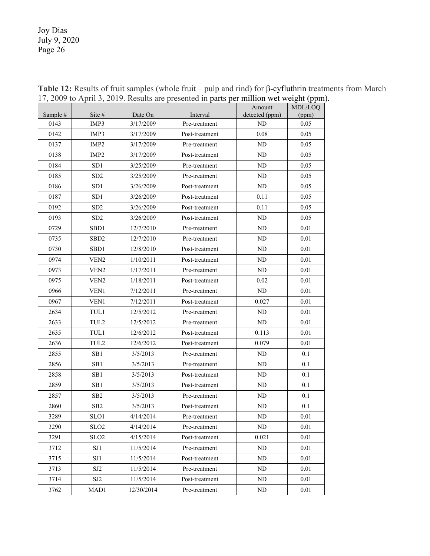|          |                   |            | $\frac{1}{2}$ , $\frac{1}{2}$ $\frac{1}{2}$ $\frac{1}{2}$ $\frac{1}{2}$ $\frac{1}{2}$ $\frac{1}{2}$ $\frac{1}{2}$ $\frac{1}{2}$ $\frac{1}{2}$ $\frac{1}{2}$ $\frac{1}{2}$ $\frac{1}{2}$ $\frac{1}{2}$ $\frac{1}{2}$ $\frac{1}{2}$ $\frac{1}{2}$ $\frac{1}{2}$ $\frac{1}{2}$ $\frac{1}{2}$ $\frac{1}{2}$ $\frac{1}{2}$ |                          | $v_{\rm gme}$    |
|----------|-------------------|------------|-----------------------------------------------------------------------------------------------------------------------------------------------------------------------------------------------------------------------------------------------------------------------------------------------------------------------|--------------------------|------------------|
| Sample # | Site #            | Date On    | Interval                                                                                                                                                                                                                                                                                                              | Amount<br>detected (ppm) | MDL/LOQ<br>(ppm) |
| 0143     | IMP3              | 3/17/2009  | Pre-treatment                                                                                                                                                                                                                                                                                                         | ND                       | 0.05             |
| 0142     | IMP3              | 3/17/2009  | Post-treatment                                                                                                                                                                                                                                                                                                        | 0.08                     | 0.05             |
| 0137     | IMP <sub>2</sub>  | 3/17/2009  | Pre-treatment                                                                                                                                                                                                                                                                                                         | ND                       | 0.05             |
| 0138     | IMP <sub>2</sub>  | 3/17/2009  | Post-treatment                                                                                                                                                                                                                                                                                                        | ND                       | 0.05             |
| 0184     | SD1               | 3/25/2009  | Pre-treatment                                                                                                                                                                                                                                                                                                         | ND                       | 0.05             |
| 0185     | SD2               | 3/25/2009  | Pre-treatment                                                                                                                                                                                                                                                                                                         | ND                       | 0.05             |
| 0186     | SD <sub>1</sub>   | 3/26/2009  | Post-treatment                                                                                                                                                                                                                                                                                                        | ND                       | 0.05             |
| 0187     | SD <sub>1</sub>   | 3/26/2009  | Post-treatment                                                                                                                                                                                                                                                                                                        | 0.11                     | 0.05             |
| 0192     | SD <sub>2</sub>   | 3/26/2009  | Post-treatment                                                                                                                                                                                                                                                                                                        | 0.11                     | 0.05             |
| 0193     | SD <sub>2</sub>   | 3/26/2009  | Post-treatment                                                                                                                                                                                                                                                                                                        | ND                       | 0.05             |
| 0729     | SBD1              | 12/7/2010  | Pre-treatment                                                                                                                                                                                                                                                                                                         | ND                       | 0.01             |
| 0735     | SB <sub>D</sub> 2 | 12/7/2010  | Pre-treatment                                                                                                                                                                                                                                                                                                         | ND                       | 0.01             |
| 0730     | SBD <sub>1</sub>  | 12/8/2010  | Post-treatment                                                                                                                                                                                                                                                                                                        | ND                       | 0.01             |
| 0974     | VEN <sub>2</sub>  | 1/10/2011  | Post-treatment                                                                                                                                                                                                                                                                                                        | ND                       | 0.01             |
| 0973     | VEN <sub>2</sub>  | 1/17/2011  | Pre-treatment                                                                                                                                                                                                                                                                                                         | ND                       | 0.01             |
| 0975     | VEN <sub>2</sub>  | 1/18/2011  | Post-treatment                                                                                                                                                                                                                                                                                                        | 0.02                     | 0.01             |
| 0966     | VEN1              | 7/12/2011  | Pre-treatment                                                                                                                                                                                                                                                                                                         | ND.                      | 0.01             |
| 0967     | VEN1              | 7/12/2011  | Post-treatment                                                                                                                                                                                                                                                                                                        | 0.027                    | 0.01             |
| 2634     | TUL1              | 12/5/2012  | Pre-treatment                                                                                                                                                                                                                                                                                                         | ND.                      | 0.01             |
| 2633     | TUL <sub>2</sub>  | 12/5/2012  | Pre-treatment                                                                                                                                                                                                                                                                                                         | ND                       | 0.01             |
| 2635     | TUL1              | 12/6/2012  | Post-treatment                                                                                                                                                                                                                                                                                                        | 0.113                    | 0.01             |
| 2636     | TUL <sub>2</sub>  | 12/6/2012  | Post-treatment                                                                                                                                                                                                                                                                                                        | 0.079                    | 0.01             |
| 2855     | SB <sub>1</sub>   | 3/5/2013   | Pre-treatment                                                                                                                                                                                                                                                                                                         | ND                       | 0.1              |
| 2856     | SB1               | 3/5/2013   | Pre-treatment                                                                                                                                                                                                                                                                                                         | ND                       | 0.1              |
| 2858     | SB1               | 3/5/2013   | Post-treatment                                                                                                                                                                                                                                                                                                        | ND                       | 0.1              |
| 2859     | SB <sub>1</sub>   | 3/5/2013   | Post-treatment                                                                                                                                                                                                                                                                                                        | ND                       | 0.1              |
| 2857     | SB2               | 3/5/2013   | Pre-treatment                                                                                                                                                                                                                                                                                                         | ND                       | 0.1              |
| 2860     | SB <sub>2</sub>   | 3/5/2013   | Post-treatment                                                                                                                                                                                                                                                                                                        | ND                       | 0.1              |
| 3289     | SLO1              | 4/14/2014  | Pre-treatment                                                                                                                                                                                                                                                                                                         | ${\rm ND}$               | $0.01\,$         |
| 3290     | SLO <sub>2</sub>  | 4/14/2014  | Pre-treatment                                                                                                                                                                                                                                                                                                         | ND                       | 0.01             |
| 3291     | SLO <sub>2</sub>  | 4/15/2014  | Post-treatment                                                                                                                                                                                                                                                                                                        | 0.021                    | 0.01             |
| 3712     | SJ1               | 11/5/2014  | Pre-treatment                                                                                                                                                                                                                                                                                                         | ND                       | 0.01             |
| 3715     | SJ1               | 11/5/2014  | Post-treatment                                                                                                                                                                                                                                                                                                        | ND.                      | 0.01             |
| 3713     | SJ2               | 11/5/2014  | Pre-treatment                                                                                                                                                                                                                                                                                                         | ND                       | 0.01             |
| 3714     | SJ2               | 11/5/2014  | Post-treatment                                                                                                                                                                                                                                                                                                        | ND                       | 0.01             |
| 3762     | MAD1              | 12/30/2014 | Pre-treatment                                                                                                                                                                                                                                                                                                         | ND                       | 0.01             |

**Table 12:** Results of fruit samples (whole fruit – pulp and rind) for β-cyfluthrin treatments from March 17, 2009 to April 3, 2019. Results are presented in parts per million wet weight (ppm).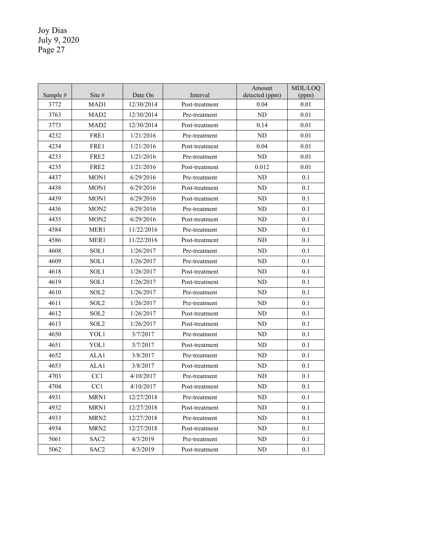| Sample # | Site #           | Date On    | Interval       | Amount<br>detected (ppm) | MDL/LOQ<br>(ppm) |
|----------|------------------|------------|----------------|--------------------------|------------------|
| 3772     | MAD1             | 12/30/2014 | Post-treatment | 0.04                     | 0.01             |
| 3763     | MAD <sub>2</sub> | 12/30/2014 | Pre-treatment  | ND                       | 0.01             |
| 3773     | MAD <sub>2</sub> | 12/30/2014 | Post-treatment | 0.14                     | 0.01             |
| 4232     | FRE1             | 1/21/2016  | Pre-treatment  | ND                       | 0.01             |
| 4234     | FRE1             | 1/21/2016  | Post-treatment | 0.04                     | 0.01             |
| 4233     | FRE <sub>2</sub> | 1/21/2016  | Pre-treatment  | ND                       | 0.01             |
| 4235     | FRE2             | 1/21/2016  | Post-treatment | 0.012                    | 0.01             |
| 4437     | MON1             | 6/29/2016  | Pre-treatment  | ND                       | 0.1              |
| 4438     | MON1             | 6/29/2016  | Post-treatment | ND                       | 0.1              |
| 4439     | MON1             | 6/29/2016  | Post-treatment | ND                       | 0.1              |
| 4436     | MON <sub>2</sub> | 6/29/2016  | Pre-treatment  | ND                       | 0.1              |
| 4435     | MON <sub>2</sub> | 6/29/2016  | Post-treatment | ND                       | 0.1              |
| 4584     | MER1             | 11/22/2016 | Pre-treatment  | ND                       | 0.1              |
| 4586     | MER1             | 11/22/2016 | Post-treatment | ND                       | 0.1              |
| 4608     | SOL1             | 1/26/2017  | Pre-treatment  | ND                       | 0.1              |
| 4609     | SOL1             | 1/26/2017  | Pre-treatment  | ND                       | 0.1              |
| 4618     | SOL1             | 1/26/2017  | Post-treatment | ND                       | 0.1              |
| 4619     | SOL1             | 1/26/2017  | Post-treatment | ND                       | 0.1              |
| 4610     | SOL <sub>2</sub> | 1/26/2017  | Pre-treatment  | ND                       | 0.1              |
| 4611     | SOL <sub>2</sub> | 1/26/2017  | Pre-treatment  | N <sub>D</sub>           | 0.1              |
| 4612     | SOL <sub>2</sub> | 1/26/2017  | Post-treatment | ND                       | 0.1              |
| 4613     | SOL <sub>2</sub> | 1/26/2017  | Post-treatment | ${\rm ND}$               | 0.1              |
| 4650     | YOL1             | 3/7/2017   | Pre-treatment  | ND                       | 0.1              |
| 4651     | YOL1             | 3/7/2017   | Post-treatment | ND                       | 0.1              |
| 4652     | ALA1             | 3/8/2017   | Pre-treatment  | ND                       | 0.1              |
| 4653     | ALA1             | 3/8/2017   | Post-treatment | ND                       | 0.1              |
| 4703     | CC1              | 4/10/2017  | Pre-treatment  | ND                       | 0.1              |
| 4704     | CC1              | 4/10/2017  | Post-treatment | ND                       | 0.1              |
| 4931     | MRNI             | 12/27/2018 | Pre-treatment  | ND.                      | 0.1              |
| 4932     | MRN1             | 12/27/2018 | Post-treatment | ND                       | 0.1              |
| 4933     | MRN <sub>2</sub> | 12/27/2018 | Pre-treatment  | ND                       | 0.1              |
| 4934     | MRN <sub>2</sub> | 12/27/2018 | Post-treatment | ND                       | 0.1              |
| 5061     | SAC <sub>2</sub> | 4/3/2019   | Pre-treatment  | ND                       | 0.1              |
| 5062     | SAC <sub>2</sub> | 4/3/2019   | Post-treatment | ND                       | 0.1              |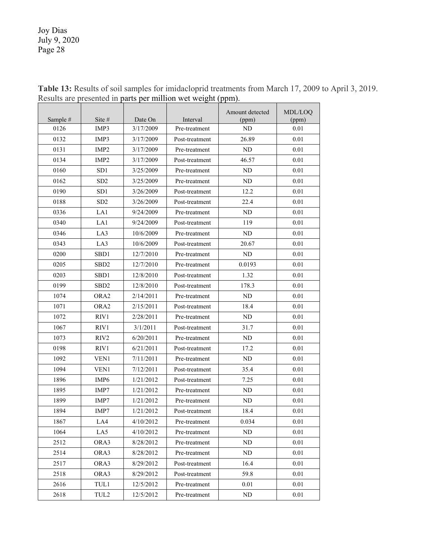| Sample # | Site #           | Date On   | Interval       | Amount detected<br>(ppm) | MDL/LOQ<br>(ppm) |
|----------|------------------|-----------|----------------|--------------------------|------------------|
| 0126     | IMP3             | 3/17/2009 | Pre-treatment  | ND                       | 0.01             |
| 0132     | IMP3             | 3/17/2009 | Post-treatment | 26.89                    | 0.01             |
| 0131     | IMP <sub>2</sub> | 3/17/2009 | Pre-treatment  | ND                       | 0.01             |
| 0134     | IMP <sub>2</sub> | 3/17/2009 | Post-treatment | 46.57                    | 0.01             |
| 0160     | SD <sub>1</sub>  | 3/25/2009 | Pre-treatment  | ND                       | 0.01             |
| 0162     | SD2              | 3/25/2009 | Pre-treatment  | ND                       | 0.01             |
| 0190     | SD1              | 3/26/2009 | Post-treatment | 12.2                     | 0.01             |
| 0188     | SD <sub>2</sub>  | 3/26/2009 | Post-treatment | 22.4                     | 0.01             |
| 0336     | LA1              | 9/24/2009 | Pre-treatment  | ND                       | 0.01             |
| 0340     | LA1              | 9/24/2009 | Post-treatment | 119                      | 0.01             |
| 0346     | LA3              | 10/6/2009 | Pre-treatment  | ND                       | 0.01             |
| 0343     | LA3              | 10/6/2009 | Post-treatment | 20.67                    | 0.01             |
| 0200     | SBD1             | 12/7/2010 | Pre-treatment  | ND                       | 0.01             |
| 0205     | SBD <sub>2</sub> | 12/7/2010 | Pre-treatment  | 0.0193                   | 0.01             |
| 0203     | SBD1             | 12/8/2010 | Post-treatment | 1.32                     | 0.01             |
| 0199     | SBD2             | 12/8/2010 | Post-treatment | 178.3                    | 0.01             |
| 1074     | ORA <sub>2</sub> | 2/14/2011 | Pre-treatment  | ND                       | 0.01             |
| 1071     | ORA <sub>2</sub> | 2/15/2011 | Post-treatment | 18.4                     | 0.01             |
| 1072     | RIV1             | 2/28/2011 | Pre-treatment  | ND                       | 0.01             |
| 1067     | RIV1             | 3/1/2011  | Post-treatment | 31.7                     | 0.01             |
| 1073     | RIV <sub>2</sub> | 6/20/2011 | Pre-treatment  | ND                       | 0.01             |
| 0198     | RIV1             | 6/21/2011 | Post-treatment | 17.2                     | 0.01             |
| 1092     | VEN1             | 7/11/2011 | Pre-treatment  | ND                       | 0.01             |
| 1094     | VEN1             | 7/12/2011 | Post-treatment | 35.4                     | 0.01             |
| 1896     | IMP <sub>6</sub> | 1/21/2012 | Post-treatment | 7.25                     | 0.01             |
| 1895     | IMP7             | 1/21/2012 | Pre-treatment  | ND                       | 0.01             |
| 1899     | IMP7             | 1/21/2012 | Pre-treatment  | ND                       | 0.01             |
| 1894     | IMP7             | 1/21/2012 | Post-treatment | 18.4                     | 0.01             |
| 1867     | LA4              | 4/10/2012 | Pre-treatment  | 0.034                    | 0.01             |
| 1064     | LA5              | 4/10/2012 | Pre-treatment  | ND                       | 0.01             |
| 2512     | ORA3             | 8/28/2012 | Pre-treatment  | ND                       | 0.01             |
| 2514     | ORA3             | 8/28/2012 | Pre-treatment  | ND                       | 0.01             |
| 2517     | ORA3             | 8/29/2012 | Post-treatment | 16.4                     | 0.01             |
| 2518     | ORA3             | 8/29/2012 | Post-treatment | 59.8                     | 0.01             |
| 2616     | TUL1             | 12/5/2012 | Pre-treatment  | 0.01                     | 0.01             |
| 2618     | TUL2             | 12/5/2012 | Pre-treatment  | ND                       | 0.01             |

**Table 13:** Results of soil samples for imidacloprid treatments from March 17, 2009 to April 3, 2019. Results are presented in parts per million wet weight (ppm).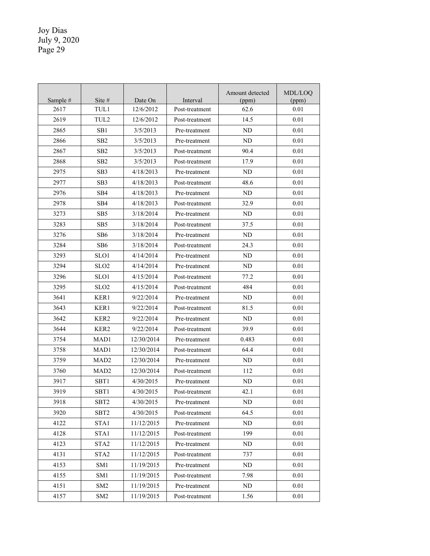| Sample # | Site #           | Date On    | Interval       | Amount detected<br>(ppm) | MDL/LOQ<br>(ppm) |
|----------|------------------|------------|----------------|--------------------------|------------------|
| 2617     | TUL1             | 12/6/2012  | Post-treatment | 62.6                     | 0.01             |
| 2619     | TUL <sub>2</sub> | 12/6/2012  | Post-treatment | 14.5                     | 0.01             |
| 2865     | SB1              | 3/5/2013   | Pre-treatment  | ND                       | 0.01             |
| 2866     | SB <sub>2</sub>  | 3/5/2013   | Pre-treatment  | ND                       | 0.01             |
| 2867     | SB2              | 3/5/2013   | Post-treatment | 90.4                     | 0.01             |
| 2868     | SB <sub>2</sub>  | 3/5/2013   | Post-treatment | 17.9                     | 0.01             |
| 2975     | SB3              | 4/18/2013  | Pre-treatment  | ND                       | 0.01             |
| 2977     | SB3              | 4/18/2013  | Post-treatment | 48.6                     | 0.01             |
| 2976     | SB4              | 4/18/2013  | Pre-treatment  | ND                       | 0.01             |
| 2978     | SB <sub>4</sub>  | 4/18/2013  | Post-treatment | 32.9                     | 0.01             |
| 3273     | SB <sub>5</sub>  | 3/18/2014  | Pre-treatment  | ND                       | 0.01             |
| 3283     | SB <sub>5</sub>  | 3/18/2014  | Post-treatment | 37.5                     | 0.01             |
| 3276     | SB <sub>6</sub>  | 3/18/2014  | Pre-treatment  | ND                       | 0.01             |
| 3284     | SB <sub>6</sub>  | 3/18/2014  | Post-treatment | 24.3                     | 0.01             |
| 3293     | SLO1             | 4/14/2014  | Pre-treatment  | ND                       | 0.01             |
| 3294     | SLO <sub>2</sub> | 4/14/2014  | Pre-treatment  | ND                       | 0.01             |
| 3296     | SLO1             | 4/15/2014  | Post-treatment | 77.2                     | 0.01             |
| 3295     | SLO2             | 4/15/2014  | Post-treatment | 484                      | 0.01             |
| 3641     | KER1             | 9/22/2014  | Pre-treatment  | ND                       | 0.01             |
| 3643     | KER1             | 9/22/2014  | Post-treatment | 81.5                     | 0.01             |
| 3642     | KER2             | 9/22/2014  | Pre-treatment  | ND                       | 0.01             |
| 3644     | KER <sub>2</sub> | 9/22/2014  | Post-treatment | 39.9                     | 0.01             |
| 3754     | MAD1             | 12/30/2014 | Pre-treatment  | 0.483                    | 0.01             |
| 3758     | MAD1             | 12/30/2014 | Post-treatment | 64.4                     | 0.01             |
| 3759     | MAD <sub>2</sub> | 12/30/2014 | Pre-treatment  | ND                       | 0.01             |
| 3760     | MAD <sub>2</sub> | 12/30/2014 | Post-treatment | 112                      | 0.01             |
| 3917     | SBT1             | 4/30/2015  | Pre-treatment  | ND                       | 0.01             |
| 3919     | SBT1             | 4/30/2015  | Post-treatment | 42.1                     | 0.01             |
| 3918     | SBT <sub>2</sub> | 4/30/2015  | Pre-treatment  | ND                       | 0.01             |
| 3920     | SBT <sub>2</sub> | 4/30/2015  | Post-treatment | 64.5                     | 0.01             |
| 4122     | STA1             | 11/12/2015 | Pre-treatment  | ND                       | 0.01             |
| 4128     | STA1             | 11/12/2015 | Post-treatment | 199                      | 0.01             |
| 4123     | STA <sub>2</sub> | 11/12/2015 | Pre-treatment  | ND                       | 0.01             |
| 4131     | STA2             | 11/12/2015 | Post-treatment | 737                      | 0.01             |
| 4153     | SM1              | 11/19/2015 | Pre-treatment  | ND                       | 0.01             |
| 4155     | SM1              | 11/19/2015 | Post-treatment | 7.98                     | 0.01             |
| 4151     | SM <sub>2</sub>  | 11/19/2015 | Pre-treatment  | ND                       | 0.01             |
| 4157     | SM <sub>2</sub>  | 11/19/2015 | Post-treatment | 1.56                     | 0.01             |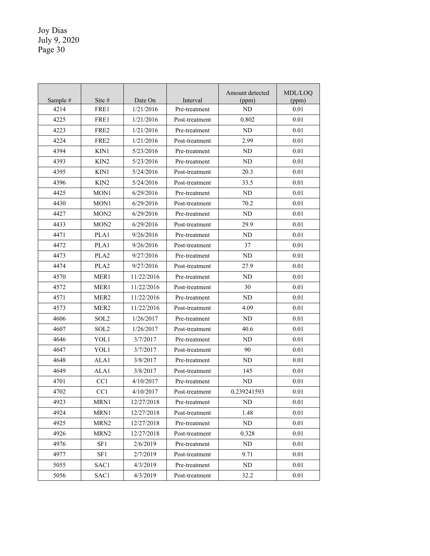| Sample # | Site $#$         | Date On    | Interval       | Amount detected<br>(ppm) | MDL/LOQ<br>(ppm) |
|----------|------------------|------------|----------------|--------------------------|------------------|
| 4214     | FRE1             | 1/21/2016  | Pre-treatment  | ND                       | 0.01             |
| 4225     | FRE <sub>1</sub> | 1/21/2016  | Post-treatment | 0.802                    | 0.01             |
| 4223     | FRE2             | 1/21/2016  | Pre-treatment  | ND                       | 0.01             |
| 4224     | FRE <sub>2</sub> | 1/21/2016  | Post-treatment | 2.99                     | 0.01             |
| 4394     | KIN1             | 5/23/2016  | Pre-treatment  | ND                       | 0.01             |
| 4393     | KIN <sub>2</sub> | 5/23/2016  | Pre-treatment  | ND                       | 0.01             |
| 4395     | KIN1             | 5/24/2016  | Post-treatment | 20.3                     | 0.01             |
| 4396     | KIN <sub>2</sub> | 5/24/2016  | Post-treatment | 33.5                     | 0.01             |
| 4425     | MON1             | 6/29/2016  | Pre-treatment  | ND                       | 0.01             |
| 4430     | MON1             | 6/29/2016  | Post-treatment | 70.2                     | 0.01             |
| 4427     | MON2             | 6/29/2016  | Pre-treatment  | ND                       | 0.01             |
| 4433     | MON <sub>2</sub> | 6/29/2016  | Post-treatment | 29.9                     | 0.01             |
| 4471     | PLA1             | 9/26/2016  | Pre-treatment  | ND                       | 0.01             |
| 4472     | PLA1             | 9/26/2016  | Post-treatment | 37                       | 0.01             |
| 4473     | PLA <sub>2</sub> | 9/27/2016  | Pre-treatment  | ND                       | 0.01             |
| 4474     | PLA <sub>2</sub> | 9/27/2016  | Post-treatment | 27.9                     | 0.01             |
| 4570     | MER1             | 11/22/2016 | Pre-treatment  | ND                       | 0.01             |
| 4572     | MER1             | 11/22/2016 | Post-treatment | 30                       | 0.01             |
| 4571     | MER <sub>2</sub> | 11/22/2016 | Pre-treatment  | ND                       | 0.01             |
| 4573     | MER <sub>2</sub> | 11/22/2016 | Post-treatment | 4.09                     | 0.01             |
| 4606     | SOL <sub>2</sub> | 1/26/2017  | Pre-treatment  | ND                       | 0.01             |
| 4607     | SOL <sub>2</sub> | 1/26/2017  | Post-treatment | 40.6                     | 0.01             |
| 4646     | YOL1             | 3/7/2017   | Pre-treatment  | ND                       | 0.01             |
| 4647     | YOL1             | 3/7/2017   | Post-treatment | 90                       | 0.01             |
| 4648     | ALA1             | 3/8/2017   | Pre-treatment  | ND                       | 0.01             |
| 4649     | ALA1             | 3/8/2017   | Post-treatment | 145                      | 0.01             |
| 4701     | CC1              | 4/10/2017  | Pre-treatment  | ND                       | 0.01             |
| 4702     | CC1              | 4/10/2017  | Post-treatment | 0.239241593              | 0.01             |
| 4923     | MRN1             | 12/27/2018 | Pre-treatment  | ND                       | 0.01             |
| 4924     | MRN1             | 12/27/2018 | Post-treatment | 1.48                     | 0.01             |
| 4925     | MRN2             | 12/27/2018 | Pre-treatment  | ND                       | 0.01             |
| 4926     | MRN2             | 12/27/2018 | Post-treatment | 0.328                    | 0.01             |
| 4976     | SF1              | 2/6/2019   | Pre-treatment  | ND                       | 0.01             |
| 4977     | SF1              | 2/7/2019   | Post-treatment | 9.71                     | 0.01             |
| 5055     | SAC1             | 4/3/2019   | Pre-treatment  | ND                       | 0.01             |
| 5056     | SAC1             | 4/3/2019   | Post-treatment | 32.2                     | 0.01             |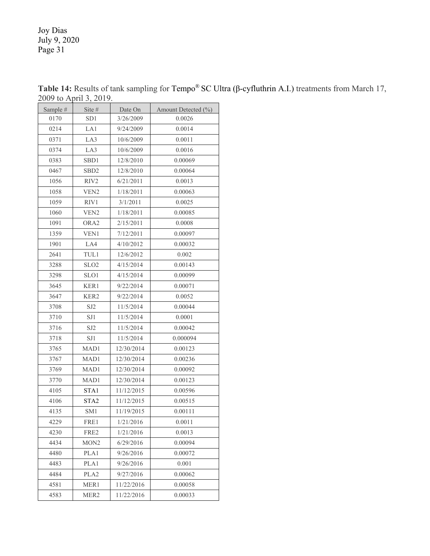| Sample # | Site #           | Date On    | Amount Detected (%) |
|----------|------------------|------------|---------------------|
| 0170     | SD1              | 3/26/2009  | 0.0026              |
| 0214     | LA1              | 9/24/2009  | 0.0014              |
| 0371     | LA3              | 10/6/2009  | 0.0011              |
| 0374     | LA3              | 10/6/2009  | 0.0016              |
| 0383     | SBD1             | 12/8/2010  | 0.00069             |
| 0467     | SBD <sub>2</sub> | 12/8/2010  | 0.00064             |
| 1056     | RIV2             | 6/21/2011  | 0.0013              |
| 1058     | VEN <sub>2</sub> | 1/18/2011  | 0.00063             |
| 1059     | RIV1             | 3/1/2011   | 0.0025              |
| 1060     | VEN <sub>2</sub> | 1/18/2011  | 0.00085             |
| 1091     | ORA <sub>2</sub> | 2/15/2011  | 0.0008              |
| 1359     | VEN1             | 7/12/2011  | 0.00097             |
| 1901     | LA4              | 4/10/2012  | 0.00032             |
| 2641     | TUL1             | 12/6/2012  | 0.002               |
| 3288     | SLO <sub>2</sub> | 4/15/2014  | 0.00143             |
| 3298     | SLO1             | 4/15/2014  | 0.00099             |
| 3645     | KER1             | 9/22/2014  | 0.00071             |
| 3647     | KER2             | 9/22/2014  | 0.0052              |
| 3708     | SJ <sub>2</sub>  | 11/5/2014  | 0.00044             |
| 3710     | SJ1              | 11/5/2014  | 0.0001              |
| 3716     | SJ2              | 11/5/2014  | 0.00042             |
| 3718     | SJ1              | 11/5/2014  | 0.000094            |
| 3765     | MAD1             | 12/30/2014 | 0.00123             |
| 3767     | MAD1             | 12/30/2014 | 0.00236             |
| 3769     | MAD1             | 12/30/2014 | 0.00092             |
| 3770     | MAD1             | 12/30/2014 | 0.00123             |
| 4105     | STA1             | 11/12/2015 | 0.00596             |
| 4106     | STA <sub>2</sub> | 11/12/2015 | 0.00515             |
| 4135     | SM1              | 11/19/2015 | 0.00111             |
| 4229     | FRE1             | 1/21/2016  | 0.0011              |
| 4230     | FRE2             | 1/21/2016  | 0.0013              |
| 4434     | MON <sub>2</sub> | 6/29/2016  | 0.00094             |
| 4480     | PLA1             | 9/26/2016  | 0.00072             |
| 4483     | PLA1             | 9/26/2016  | 0.001               |
| 4484     | PLA <sub>2</sub> | 9/27/2016  | 0.00062             |
| 4581     | MER1             | 11/22/2016 | 0.00058             |
| 4583     | MER <sub>2</sub> | 11/22/2016 | 0.00033             |

**Table 14:** Results of tank sampling for Tempo® SC Ultra (β-cyfluthrin A.I.) treatments from March 17, 2009 to April 3, 2019.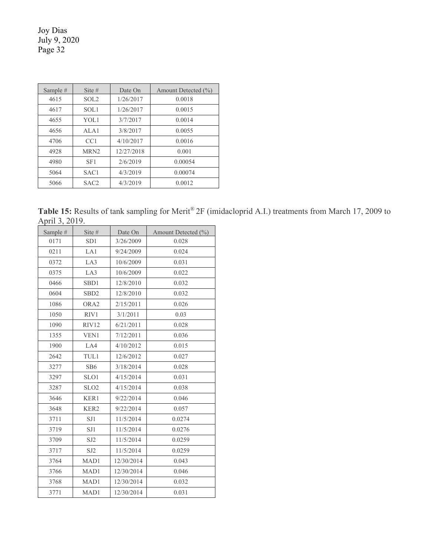| Sample $#$ | Site $#$         | Date On    | Amount Detected (%) |
|------------|------------------|------------|---------------------|
| 4615       | SOL <sub>2</sub> | 1/26/2017  | 0.0018              |
| 4617       | SOL1             | 1/26/2017  | 0.0015              |
| 4655       | YOL1             | 3/7/2017   | 0.0014              |
| 4656       | ALA1             | 3/8/2017   | 0.0055              |
| 4706       | CC1              | 4/10/2017  | 0.0016              |
| 4928       | MRN <sub>2</sub> | 12/27/2018 | 0.001               |
| 4980       | SF1              | 2/6/2019   | 0.00054             |
| 5064       | SAC <sub>1</sub> | 4/3/2019   | 0.00074             |
| 5066       | SAC <sub>2</sub> | 4/3/2019   | 0.0012              |

Table 15: Results of tank sampling for Merit<sup>®</sup> 2F (imidacloprid A.I.) treatments from March 17, 2009 to April 3, 2019.

| Sample # | Site #           | Date On    | Amount Detected (%) |
|----------|------------------|------------|---------------------|
| 0171     | SD <sub>1</sub>  | 3/26/2009  | 0.028               |
| 0211     | LA1              | 9/24/2009  | 0.024               |
| 0372     | LA3              | 10/6/2009  | 0.031               |
| 0375     | LA3              | 10/6/2009  | 0.022               |
| 0466     | SBD1             | 12/8/2010  | 0.032               |
| 0604     | SB <sub>D2</sub> | 12/8/2010  | 0.032               |
| 1086     | ORA2             | 2/15/2011  | 0.026               |
| 1050     | RIV1             | 3/1/2011   | 0.03                |
| 1090     | RIV12            | 6/21/2011  | 0.028               |
| 1355     | VEN1             | 7/12/2011  | 0.036               |
| 1900     | LA4              | 4/10/2012  | 0.015               |
| 2642     | TUL1             | 12/6/2012  | 0.027               |
| 3277     | SB <sub>6</sub>  | 3/18/2014  | 0.028               |
| 3297     | SLO1             | 4/15/2014  | 0.031               |
| 3287     | SLO <sub>2</sub> | 4/15/2014  | 0.038               |
| 3646     | KER1             | 9/22/2014  | 0.046               |
| 3648     | KER <sub>2</sub> | 9/22/2014  | 0.057               |
| 3711     | SJ1              | 11/5/2014  | 0.0274              |
| 3719     | SJ1              | 11/5/2014  | 0.0276              |
| 3709     | SJ2              | 11/5/2014  | 0.0259              |
| 3717     | SJ <sub>2</sub>  | 11/5/2014  | 0.0259              |
| 3764     | MAD1             | 12/30/2014 | 0.043               |
| 3766     | MAD1             | 12/30/2014 | 0.046               |
| 3768     | MAD1             | 12/30/2014 | 0.032               |
| 3771     | MAD1             | 12/30/2014 | 0.031               |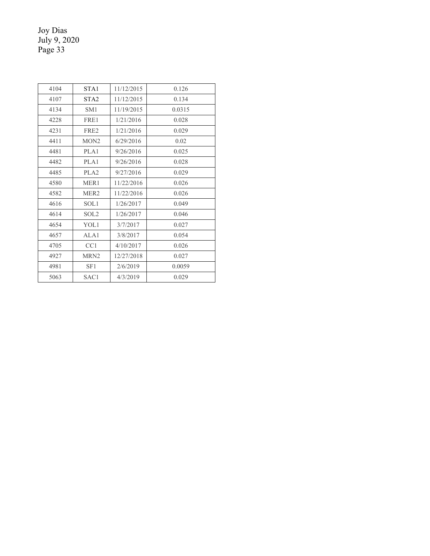| 4104 | STA <sub>1</sub> | 11/12/2015 | 0.126  |
|------|------------------|------------|--------|
| 4107 | STA <sub>2</sub> | 11/12/2015 | 0.134  |
| 4134 | SM <sub>1</sub>  | 11/19/2015 | 0.0315 |
| 4228 | FRE1             | 1/21/2016  | 0.028  |
| 4231 | FRE <sub>2</sub> | 1/21/2016  | 0.029  |
| 4411 | MON <sub>2</sub> | 6/29/2016  | 0.02   |
| 4481 | PLA1             | 9/26/2016  | 0.025  |
| 4482 | PLA1             | 9/26/2016  | 0.028  |
| 4485 | PLA <sub>2</sub> | 9/27/2016  | 0.029  |
| 4580 | MER <sub>1</sub> | 11/22/2016 | 0.026  |
| 4582 | MER <sub>2</sub> | 11/22/2016 | 0.026  |
| 4616 | SOL1             | 1/26/2017  | 0.049  |
| 4614 | SOL <sub>2</sub> | 1/26/2017  | 0.046  |
| 4654 | YOL1             | 3/7/2017   | 0.027  |
| 4657 | ALA1             | 3/8/2017   | 0.054  |
| 4705 | CC1              | 4/10/2017  | 0.026  |
| 4927 | MRN <sub>2</sub> | 12/27/2018 | 0.027  |
| 4981 | SF1              | 2/6/2019   | 0.0059 |
| 5063 | SAC1             | 4/3/2019   | 0.029  |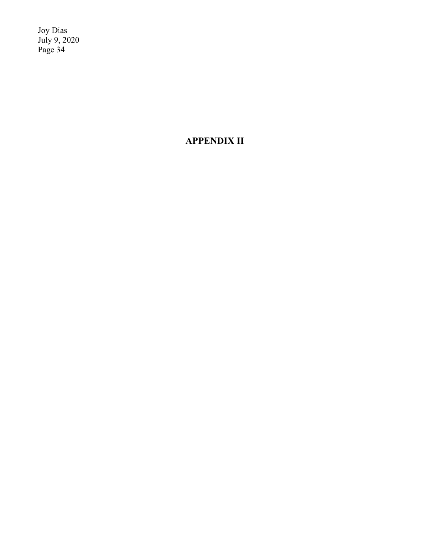**APPENDIX II**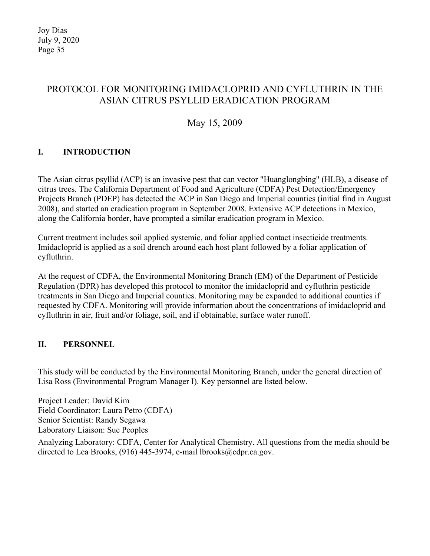# PROTOCOL FOR MONITORING IMIDACLOPRID AND CYFLUTHRIN IN THE ASIAN CITRUS PSYLLID ERADICATION PROGRAM

# May 15, 2009

# **I. INTRODUCTION**

The Asian citrus psyllid (ACP) is an invasive pest that can vector "Huanglongbing" (HLB), a disease of citrus trees. The California Department of Food and Agriculture (CDFA) Pest Detection/Emergency Projects Branch (PDEP) has detected the ACP in San Diego and Imperial counties (initial find in August 2008), and started an eradication program in September 2008. Extensive ACP detections in Mexico, along the California border, have prompted a similar eradication program in Mexico.

Current treatment includes soil applied systemic, and foliar applied contact insecticide treatments. Imidacloprid is applied as a soil drench around each host plant followed by a foliar application of cyfluthrin.

At the request of CDFA, the Environmental Monitoring Branch (EM) of the Department of Pesticide Regulation (DPR) has developed this protocol to monitor the imidacloprid and cyfluthrin pesticide treatments in San Diego and Imperial counties. Monitoring may be expanded to additional counties if requested by CDFA. Monitoring will provide information about the concentrations of imidacloprid and cyfluthrin in air, fruit and/or foliage, soil, and if obtainable, surface water runoff.

### **II. PERSONNEL**

This study will be conducted by the Environmental Monitoring Branch, under the general direction of Lisa Ross (Environmental Program Manager I). Key personnel are listed below.

Project Leader: David Kim Field Coordinator: Laura Petro (CDFA) Senior Scientist: Randy Segawa Laboratory Liaison: Sue Peoples

Analyzing Laboratory: CDFA, Center for Analytical Chemistry. All questions from the media should be directed to Lea Brooks, (916) 445-3974, e-mail [lbrooks@cdpr.ca.gov.](mailto:lbrooks@cdpr.ca.gov)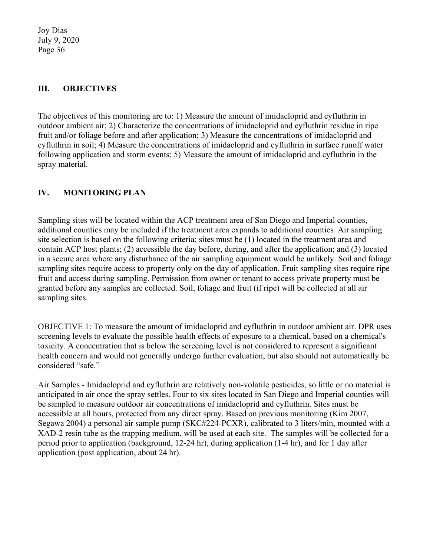### **III. OBJECTIVES**

The objectives of this monitoring are to: 1) Measure the amount of imidacloprid and cyfluthrin in outdoor ambient air; 2) Characterize the concentrations of imidacloprid and cyfluthrin residue in ripe fruit and/or foliage before and after application; 3) Measure the concentrations of imidacloprid and cyfluthrin in soil; 4) Measure the concentrations of imidacloprid and cyfluthrin in surface runoff water following application and storm events; 5) Measure the amount of imidacloprid and cyfluthrin in the spray material.

### **IV. MONITORING PLAN**

Sampling sites will be located within the ACP treatment area of San Diego and Imperial counties, additional counties may be included if the treatment area expands to additional counties. Air sampling site selection is based on the following criteria: sites must be (1) located in the treatment area and contain ACP host plants; (2) accessible the day before, during, and after the application; and (3) located in a secure area where any disturbance of the air sampling equipment would be unlikely. Soil and foliage sampling sites require access to property only on the day of application. Fruit sampling sites require ripe fruit and access during sampling. Permission from owner or tenant to access private property must be granted before any samples are collected. Soil, foliage and fruit (if ripe) will be collected at all air sampling sites.

OBJECTIVE 1: To measure the amount of imidacloprid and cyfluthrin in outdoor ambient air. DPR uses screening levels to evaluate the possible health effects of exposure to a chemical, based on a chemical's toxicity. A concentration that is below the screening level is not considered to represent a significant health concern and would not generally undergo further evaluation, but also should not automatically be considered "safe."

Air Samples - Imidacloprid and cyfluthrin are relatively non-volatile pesticides, so little or no material is anticipated in air once the spray settles. Four to six sites located in San Diego and Imperial counties will be sampled to measure outdoor air concentrations of imidacloprid and cyfluthrin. Sites must be accessible at all hours, protected from any direct spray. Based on previous monitoring (Kim 2007, Segawa 2004) a personal air sample pump (SKC#224-PCXR), calibrated to 3 liters/min, mounted with a XAD-2 resin tube as the trapping medium, will be used at each site. The samples will be collected for a period prior to application (background, 12-24 hr), during application (1-4 hr), and for 1 day after application (post application, about 24 hr).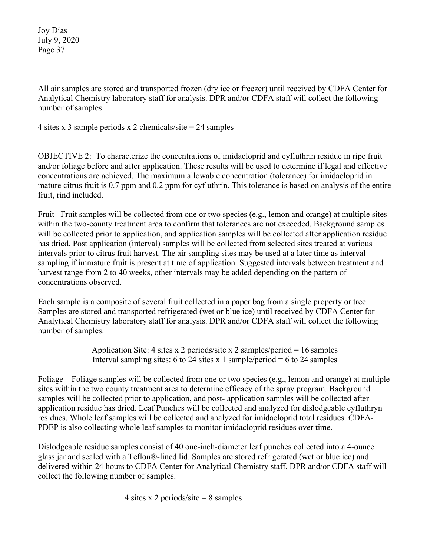All air samples are stored and transported frozen (dry ice or freezer) until received by CDFA Center for Analytical Chemistry laboratory staff for analysis. DPR and/or CDFA staff will collect the following number of samples.

4 sites x 3 sample periods x 2 chemicals/site = 24 samples

OBJECTIVE 2: To characterize the concentrations of imidacloprid and cyfluthrin residue in ripe fruit and/or foliage before and after application. These results will be used to determine if legal and effective concentrations are achieved. The maximum allowable concentration (tolerance) for imidacloprid in mature citrus fruit is 0.7 ppm and 0.2 ppm for cyfluthrin. This tolerance is based on analysis of the entire fruit, rind included.

Fruit– Fruit samples will be collected from one or two species (e.g., lemon and orange) at multiple sites within the two-county treatment area to confirm that tolerances are not exceeded. Background samples will be collected prior to application, and application samples will be collected after application residue has dried. Post application (interval) samples will be collected from selected sites treated at various intervals prior to citrus fruit harvest. The air sampling sites may be used at a later time as interval sampling if immature fruit is present at time of application. Suggested intervals between treatment and harvest range from 2 to 40 weeks, other intervals may be added depending on the pattern of concentrations observed.

Each sample is a composite of several fruit collected in a paper bag from a single property or tree. Samples are stored and transported refrigerated (wet or blue ice) until received by CDFA Center for Analytical Chemistry laboratory staff for analysis. DPR and/or CDFA staff will collect the following number of samples.

> Application Site: 4 sites x 2 periods/site x 2 samples/period = 16 samples Interval sampling sites: 6 to 24 sites x 1 sample/period = 6 to 24 samples

Foliage – Foliage samples will be collected from one or two species (e.g., lemon and orange) at multiple sites within the two county treatment area to determine efficacy of the spray program. Background samples will be collected prior to application, and post- application samples will be collected after application residue has dried. Leaf Punches will be collected and analyzed for dislodgeable cyfluthryn residues. Whole leaf samples will be collected and analyzed for imidacloprid total residues. CDFA-PDEP is also collecting whole leaf samples to monitor imidacloprid residues over time.

Dislodgeable residue samples consist of 40 one-inch-diameter leaf punches collected into a 4-ounce glass jar and sealed with a Teflon®-lined lid. Samples are stored refrigerated (wet or blue ice) and delivered within 24 hours to CDFA Center for Analytical Chemistry staff. DPR and/or CDFA staff will collect the following number of samples.

4 sites x 2 periods/site  $= 8$  samples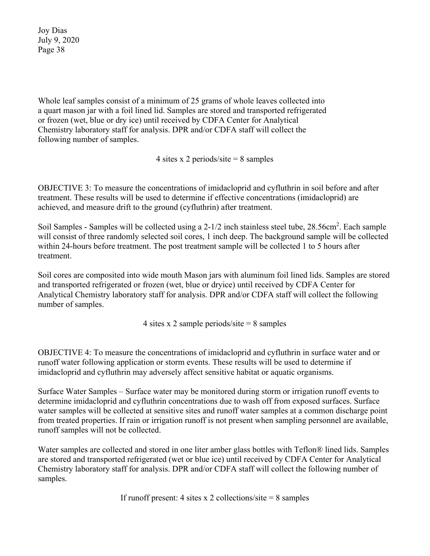Whole leaf samples consist of a minimum of 25 grams of whole leaves collected into a quart mason jar with a foil lined lid. Samples are stored and transported refrigerated or frozen (wet, blue or dry ice) until received by CDFA Center for Analytical Chemistry laboratory staff for analysis. DPR and/or CDFA staff will collect the following number of samples.

4 sites x 2 periods/site  $= 8$  samples

OBJECTIVE 3: To measure the concentrations of imidacloprid and cyfluthrin in soil before and after treatment. These results will be used to determine if effective concentrations (imidacloprid) are achieved, and measure drift to the ground (cyfluthrin) after treatment.

Soil Samples - Samples will be collected using a 2-1/2 inch stainless steel tube, 28.56cm<sup>2</sup>. Each sample will consist of three randomly selected soil cores, 1 inch deep. The background sample will be collected within 24-hours before treatment. The post treatment sample will be collected 1 to 5 hours after treatment.

Soil cores are composited into wide mouth Mason jars with aluminum foil lined lids. Samples are stored and transported refrigerated or frozen (wet, blue or dryice) until received by CDFA Center for Analytical Chemistry laboratory staff for analysis. DPR and/or CDFA staff will collect the following number of samples.

4 sites x 2 sample periods/site  $= 8$  samples

OBJECTIVE 4: To measure the concentrations of imidacloprid and cyfluthrin in surface water and or runoff water following application or storm events. These results will be used to determine if imidacloprid and cyfluthrin may adversely affect sensitive habitat or aquatic organisms.

Surface Water Samples – Surface water may be monitored during storm or irrigation runoff events to determine imidacloprid and cyfluthrin concentrations due to wash off from exposed surfaces. Surface water samples will be collected at sensitive sites and runoff water samples at a common discharge point from treated properties. If rain or irrigation runoff is not present when sampling personnel are available, runoff samples will not be collected.

Water samples are collected and stored in one liter amber glass bottles with Teflon® lined lids. Samples are stored and transported refrigerated (wet or blue ice) until received by CDFA Center for Analytical Chemistry laboratory staff for analysis. DPR and/or CDFA staff will collect the following number of samples.

If runoff present: 4 sites x 2 collections/site  $= 8$  samples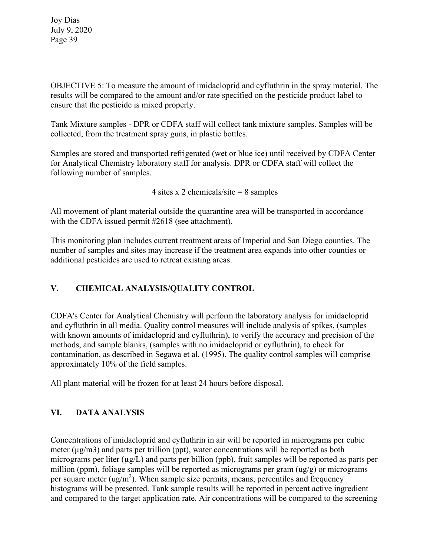OBJECTIVE 5: To measure the amount of imidacloprid and cyfluthrin in the spray material. The results will be compared to the amount and/or rate specified on the pesticide product label to ensure that the pesticide is mixed properly.

Tank Mixture samples - DPR or CDFA staff will collect tank mixture samples. Samples will be collected, from the treatment spray guns, in plastic bottles.

Samples are stored and transported refrigerated (wet or blue ice) until received by CDFA Center for Analytical Chemistry laboratory staff for analysis. DPR or CDFA staff will collect the following number of samples.

4 sites x 2 chemicals/site  $= 8$  samples

All movement of plant material outside the quarantine area will be transported in accordance with the CDFA issued permit #2618 (see attachment).

This monitoring plan includes current treatment areas of Imperial and San Diego counties. The number of samples and sites may increase if the treatment area expands into other counties or additional pesticides are used to retreat existing areas.

# **V. CHEMICAL ANALYSIS/QUALITY CONTROL**

CDFA's Center for Analytical Chemistry will perform the laboratory analysis for imidacloprid and cyfluthrin in all media. Quality control measures will include analysis of spikes, (samples with known amounts of imidacloprid and cyfluthrin), to verify the accuracy and precision of the methods, and sample blanks, (samples with no imidacloprid or cyfluthrin), to check for contamination, as described in Segawa et al. (1995). The quality control samples will comprise approximately 10% of the field samples.

All plant material will be frozen for at least 24 hours before disposal.

### **VI. DATA ANALYSIS**

Concentrations of imidacloprid and cyfluthrin in air will be reported in micrograms per cubic meter  $(\mu g/m3)$  and parts per trillion (ppt), water concentrations will be reported as both micrograms per liter ( $\mu$ g/L) and parts per billion (ppb), fruit samples will be reported as parts per million (ppm), foliage samples will be reported as micrograms per gram (ug/g) or micrograms per square meter  $(ug/m^2)$ . When sample size permits, means, percentiles and frequency histograms will be presented. Tank sample results will be reported in percent active ingredient and compared to the target application rate. Air concentrations will be compared to the screening